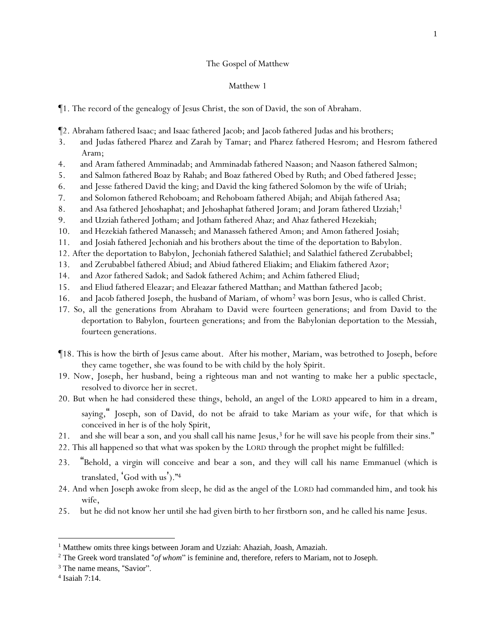## The Gospel of Matthew

- ¶1. The record of the genealogy of Jesus Christ, the son of David, the son of Abraham.
- ¶2. Abraham fathered Isaac; and Isaac fathered Jacob; and Jacob fathered Judas and his brothers;
- 3. and Judas fathered Pharez and Zarah by Tamar; and Pharez fathered Hesrom; and Hesrom fathered Aram;
- 4. and Aram fathered Amminadab; and Amminadab fathered Naason; and Naason fathered Salmon;
- 5. and Salmon fathered Boaz by Rahab; and Boaz fathered Obed by Ruth; and Obed fathered Jesse;
- 6. and Jesse fathered David the king; and David the king fathered Solomon by the wife of Uriah;
- 7. and Solomon fathered Rehoboam; and Rehoboam fathered Abijah; and Abijah fathered Asa;
- 8. and Asa fathered Jehoshaphat; and Jehoshaphat fathered Joram; and Joram fathered Uzziah;<sup>1</sup>
- 9. and Uzziah fathered Jotham; and Jotham fathered Ahaz; and Ahaz fathered Hezekiah;
- 10. and Hezekiah fathered Manasseh; and Manasseh fathered Amon; and Amon fathered Josiah;
- 11. and Josiah fathered Jechoniah and his brothers about the time of the deportation to Babylon.
- 12. After the deportation to Babylon, Jechoniah fathered Salathiel; and Salathiel fathered Zerubabbel;
- 13. and Zerubabbel fathered Abiud; and Abiud fathered Eliakim; and Eliakim fathered Azor;
- 14. and Azor fathered Sadok; and Sadok fathered Achim; and Achim fathered Eliud;
- 15. and Eliud fathered Eleazar; and Eleazar fathered Matthan; and Matthan fathered Jacob;
- 16. and Jacob fathered Joseph, the husband of Mariam, of whom<sup>2</sup> was born Jesus, who is called Christ.
- 17. So, all the generations from Abraham to David were fourteen generations; and from David to the deportation to Babylon, fourteen generations; and from the Babylonian deportation to the Messiah, fourteen generations.
- ¶18. This is how the birth of Jesus came about. After his mother, Mariam, was betrothed to Joseph, before they came together, she was found to be with child by *the* holy Spirit.
- 19. Now, Joseph, her husband, being a righteous man and not wanting to make her a public spectacle, resolved to divorce her in secret.
- 20. But when he had considered these things, behold, an angel of the LORD appeared to him in a dream, saying," Joseph, son of David, do not be afraid to take Mariam as your wife, for that which is conceived in her is of *the* holy Spirit,
- 21. and she will bear a son, and you shall call his name Jesus,<sup>3</sup> for he will save his people from their sins."
- 22. This all happened so that what was spoken by the LORD through the prophet might be fulfilled:
- 23. "Behold, a virgin will conceive and bear a son, and they will call his name Emmanuel (which is translated, 'God with us')."<sup>4</sup>
- 24. And when Joseph awoke from sleep, he did as the angel of the LORD had commanded him, and took his wife,
- 25. but he did not know her until she had given birth to her firstborn son, and he called his name Jesus.

<sup>&</sup>lt;sup>1</sup> Matthew omits three kings between Joram and Uzziah: Ahaziah, Joash, Amaziah.

<sup>2</sup> The Greek word translated "*of whom*" is feminine and, therefore, refers to Mariam, not to Joseph.

<sup>&</sup>lt;sup>3</sup> The name means, "Savior".

<sup>4</sup> Isaiah 7:14.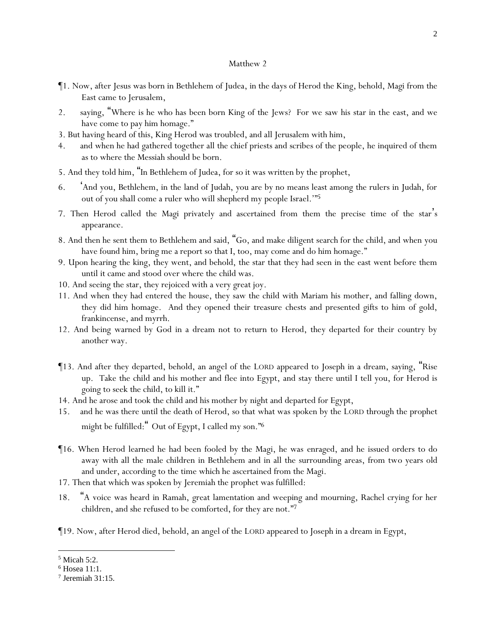- ¶1. Now, after Jesus was born in Bethlehem of Judea, in the days of Herod the King, behold, Magi from the East came to Jerusalem,
- 2. saying, "Where is he who has been born King of the Jews? For we saw his star in the east, and we have come to pay him homage."
- 3. But having heard *of this,* King Herod was troubled, and all Jerusalem with him,
- 4. and when he had gathered together all the chief priests and scribes of the people, he inquired of them as to where the Messiah should be born.
- 5. And they told him, "In Bethlehem of Judea, for so it was written by the prophet,
- 6. 'And you, Bethlehem, in the land of Judah, you are by no means least among the rulers in Judah, for out of you shall come a ruler who will shepherd my people Israel.'" 5
- 7. Then Herod called the Magi privately and ascertained from them the precise time of the star's appearance.
- 8. And then he sent them to Bethlehem and said, "Go, and make diligent search for the child, and when *y*ou have found him, bring me a report so that I, too, may come and do him homage."
- 9. Upon hearing the king, they went, and behold, the star that they had seen in the east went before them until it came and stood over where the child was.
- 10. And seeing the star, they rejoiced with a very great joy.
- 11. And when they had entered the house, they saw the child with Mariam his mother, and falling down, they did him homage. And they opened their treasure chests and presented gifts to him of gold, frankincense, and myrrh.
- 12. And being warned by God in a dream not to return to Herod, they departed for their country by another way.
- ¶13. And after they departed, behold, an angel of the LORD appeared to Joseph in a dream, saying, "Rise up. Take the child and his mother and flee into Egypt, and stay there until I tell you, for Herod is going to seek the child, to kill it."
- 14. And he arose and took the child and his mother by night and departed for Egypt,
- 15. and he was there until the death of Herod, so that what was spoken by the LORD through the prophet might be fulfilled: " Out of Egypt, I called my son." 6
- ¶16. When Herod learned he had been fooled by the Magi, he was enraged, and he issued orders to do away with all the male children in Bethlehem and in all the surrounding areas, from two years old and under, according to the time which he ascertained from the Magi.
- 17. Then that which was spoken by Jeremiah the prophet was fulfilled:
- 18. "A voice was heard in Ramah, great lamentation and weeping and mourning, Rachel crying for her children, and she refused to be comforted, for they are not." 7
- ¶19. Now, after Herod died, behold, an angel of the LORD appeared to Joseph in a dream in Egypt,

<sup>5</sup> Micah 5:2.

<sup>6</sup> Hosea 11:1.

<sup>7</sup> Jeremiah 31:15.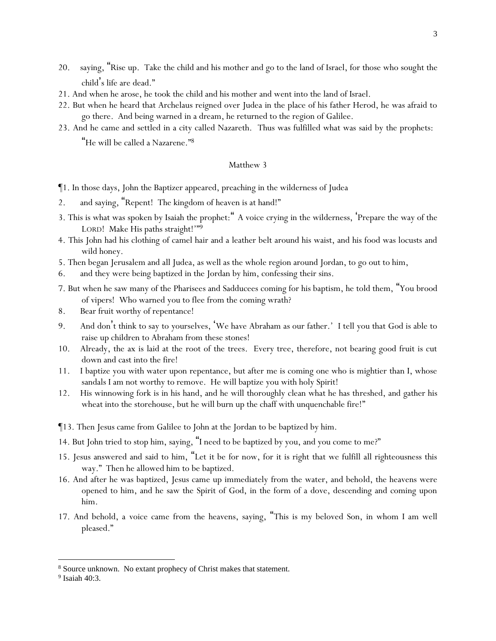- 20. saying, "Rise up. Take the child and his mother and go to the land of Israel, for those who sought the child's life are dead."
- 21. And when he arose, he took the child and his mother and went into the land of Israel.
- 22. But when he heard that Archelaus reigned over Judea in the place of his father Herod, he was afraid to go there. And being warned in a dream, he returned to the region of Galilee.
- 23. And he came and settled in a city called Nazareth. Thus was fulfilled what was said by the prophets:

"He will be called a Nazarene." 8

- ¶1. In those days, John the Baptizer appeared, preaching in the wilderness of Judea
- 2. and saying, "Repent! The kingdom of heaven is at hand!"
- 3. This is what was spoken by Isaiah the prophet:" A voice crying in the wilderness, 'Prepare the way of the LORD! Make His paths straight!""9
- 4. This John had his clothing of camel hair and a leather belt around his waist, and his food was locusts and wild honey.
- 5. Then began Jerusalem and all Judea, as well as the whole region around Jordan, to go out to him,
- 6. and they were being baptized in the Jordan by him, confessing their sins.
- 7. But when he saw many of the Pharisees and Sadducees coming for his baptism, he told them, "You brood of vipers! Who warned *y*ou to flee from the coming wrath?
- 8. Bear fruit worthy of repentance!
- 9. And don't think to say to *y*ourselves, 'We have Abraham as our father.' I tell *y*ou that God is able to raise up children to Abraham from these stones!
- 10. Already, the ax is laid at the root of the trees. Every tree, therefore, not bearing good fruit is cut down and cast into the fire!
- 11. I baptize *y*ou with water upon repentance, but after me is coming one who is mightier than I, whose sandals I am not worthy to remove. He will baptize *y*ou with holy Spirit!
- 12. His winnowing fork is in his hand, and he will thoroughly clean what he has threshed, and gather his wheat into the storehouse, but he will burn up the chaff with unquenchable fire!"
- ¶13. Then Jesus came from Galilee to John at the Jordan to be baptized by him.
- 14. But John tried to stop him, saying, "I need to be baptized by you, and you come to me?"
- 15. Jesus answered and said to him, "Let it be for now, for it is right that we fulfill all righteousness this way." Then he allowed him *to be baptized*.
- 16. And after he was baptized, Jesus came up immediately from the water, and behold, the heavens were opened to him, and he saw the Spirit of God, in the form of a dove, descending and coming upon him.
- 17. And behold, a voice *came* from the heavens, saying, "This is my beloved Son, in whom I am well pleased."

<sup>8</sup> Source unknown. No extant prophecy of Christ makes that statement.

<sup>9</sup> Isaiah 40:3.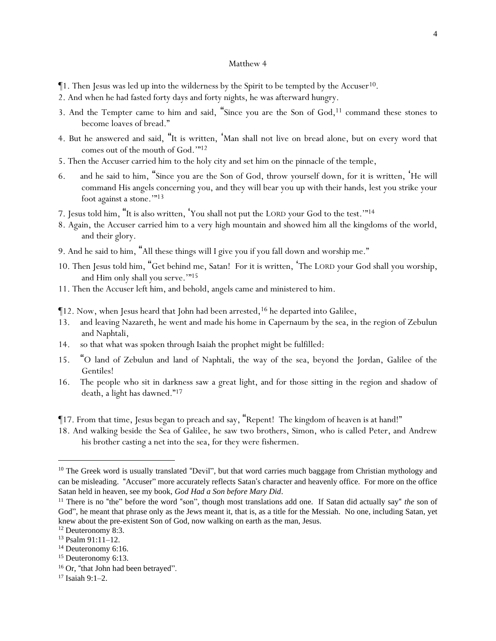- $\P$ 1. Then Jesus was led up into the wilderness by the Spirit to be tempted by the Accuser<sup>10</sup>.
- 2. And when he had fasted forty days and forty nights, he was afterward hungry.
- 3. And the Tempter came to him and said, "Since you are the Son of God,<sup>11</sup> command these stones to become loaves of bread."
- 4. But he answered and said, "It is written, 'Man shall not live on bread alone, but on every word that comes out of the mouth of God.'" 12
- 5. Then the Accuser carried him to the holy city and set him on the pinnacle of the temple,
- 6. and he said to him, "Since you are the Son of God, throw yourself down, for it is written, 'He will command His angels concerning you, and they will bear you up with their hands, lest you strike your foot against a stone.'"<sup>13</sup>
- 7. Jesus told him, "It is also written, 'You shall not put the LORD your God to the test.'"<sup>14</sup>
- 8. Again, the Accuser carried him to a very high mountain and showed him all the kingdoms of the world, and their glory.
- 9. And he said to him, "All these things will I give you if you fall down and worship me."
- 10. Then Jesus told him, "Get behind me, Satan! For it is written, 'The LORD your God shall you worship, and Him only shall you serve.""<sup>15</sup>
- 11. Then the Accuser left him, and behold, angels came and ministered to him.
- $\P$ 12. Now, when Jesus heard that John had been arrested,<sup>16</sup> he departed into Galilee,
- 13. and leaving Nazareth, he went and made his home in Capernaum by the sea, in the region of Zebulun and Naphtali,
- 14. so that what was spoken through Isaiah the prophet might be fulfilled:
- 15. "O land of Zebulun and land of Naphtali, the way of the sea, beyond the Jordan, Galilee of the Gentiles!
- 16. The people who sit in darkness saw a great light, and for those sitting in the region and shadow of death, a light has dawned."<sup>17</sup>
- ¶17. From that time, Jesus began to preach and say, "Repent! The kingdom of heaven is at hand!"
- 18. And walking beside the Sea of Galilee, he saw two brothers, Simon, who is called Peter, and Andrew his brother casting a net into the sea, for they were fishermen.

<sup>&</sup>lt;sup>10</sup> The Greek word is usually translated "Devil", but that word carries much baggage from Christian mythology and can be misleading. "Accuser" more accurately reflects Satan's character and heavenly office. For more on the office Satan held in heaven, see my book, *God Had a Son before Mary Did*.

<sup>11</sup> There is no "the" before the word "son", though most translations add one. If Satan did actually say" *the* son of God", he meant that phrase only as the Jews meant it, that is, as a title for the Messiah. No one, including Satan, yet knew about the pre-existent Son of God, now walking on earth as the man, Jesus.

<sup>12</sup> Deuteronomy 8:3.

<sup>13</sup> Psalm 91:11–12.

 $14$  Deuteronomy 6:16.

<sup>&</sup>lt;sup>15</sup> Deuteronomy 6:13.

<sup>&</sup>lt;sup>16</sup> Or, "that John had been betrayed".

 $17$  Isaiah 9:1-2.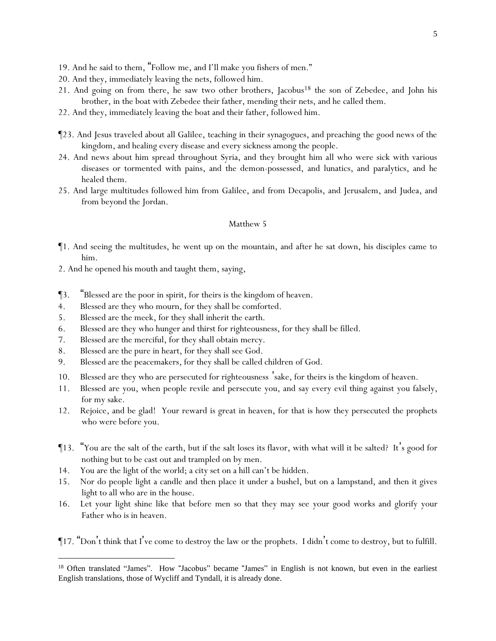- 19. And he said to them, "Follow me, and I'll make *y*ou fishers of men."
- 20. And they, immediately leaving the nets, followed him.
- 21. And going on from there, he saw two other brothers, Jacobus<sup>18</sup> the son of Zebedee, and John his brother, in the boat with Zebedee their father, mending their nets, and he called them.
- 22. And they, immediately leaving the boat and their father, followed him.
- ¶23. And Jesus traveled about all Galilee, teaching in their synagogues, and preaching the good news of the kingdom, and healing every disease and every sickness among the people.
- 24. And news about him spread throughout Syria, and they brought him all who were sick with various diseases or tormented with pains, and the demon-possessed, and lunatics, and paralytics, and he healed them.
- 25. And large multitudes followed him from Galilee, and from Decapolis, and Jerusalem, and Judea, and from beyond the Jordan.

- ¶1. And seeing the multitudes, he went up on the mountain, and after he sat down, his disciples came to him.
- 2. And he opened his mouth and taught them, saying,
- ¶3. "Blessed are the poor in spirit, for theirs is the kingdom of heaven.
- 4. Blessed are they who mourn, for they shall be comforted.
- 5. Blessed are the meek, for they shall inherit the earth.
- 6. Blessed are they who hunger and thirst for righteousness, for they shall be filled.
- 7. Blessed are the merciful, for they shall obtain mercy.
- 8. Blessed are the pure in heart, for they shall see God.
- 9. Blessed are the peacemakers, for they shall be called children of God.
- 10. Blessed are they who are persecuted for righteousness 'sake, for theirs is the kingdom of heaven.
- 11. Blessed are *y*ou, when people revile and persecute *y*ou, and say every evil thing against *y*ou falsely, for my sake.
- 12. Rejoice, and be glad! *Y*our reward is great in heaven, for that is how they persecuted the prophets who were before *y*ou.
- ¶13. "*Y*ou are the salt of the earth, but if the salt loses its flavor, with what will it be salted? It's good for nothing but to be cast out and trampled on by men.
- 14. *Y*ou are the light of the world; a city set on a hill can't be hidden.
- 15. Nor do people light a candle and then place it under a bushel, but on a lampstand, and then it gives light to all who are in the house.
- 16. Let *y*our light shine like that before men so that they may see *y*our good works and glorify *y*our Father who is in heaven.

¶17. "Don't think that I 've come to destroy the law or the prophets. I didn't come to destroy, but to fulfill.

<sup>&</sup>lt;sup>18</sup> Often translated "James". How "Jacobus" became "James" in English is not known, but even in the earliest English translations, those of Wycliff and Tyndall, it is already done.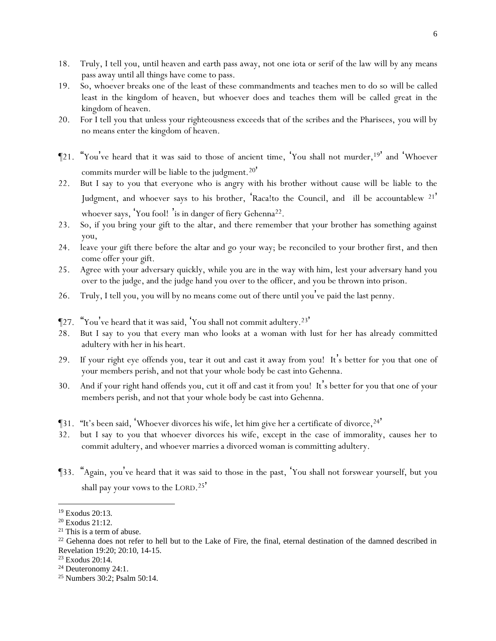- 18. Truly, I tell *y*ou, until heaven and earth pass away, not one iota or serif of the law will by any means pass away until all things have come to pass.
- 19. So, whoever breaks one of the least of these commandments and teaches men to do so will be called least in the kingdom of heaven, but whoever does and teaches them will be called great in the kingdom of heaven.
- 20. For I tell *y*ou that unless *y*our righteousness exceeds that of the scribes and the Pharisees, *y*ou will by no means enter the kingdom of heaven.
- ¶21. "*Y*ou've heard that it was said to those of ancient time, 'You shall not murder,<sup>19</sup>' and 'Whoever commits murder will be liable to the judgment.<sup>20'</sup>
- 22. But I say to *y*ou that everyone who is angry with his brother without cause will be liable to the Judgment, and whoever says to his brother, Raca!to the Council, and ill be accountablew <sup>21'</sup> whoever says, 'You fool!' is in danger of fiery Gehenna<sup>22</sup>.
- 23. So, if you bring your gift to the altar, and there remember that your brother has something against you,
- 24. leave your gift there before the altar and go your way; be reconciled to your brother first, and then come offer your gift.
- 25. Agree with your adversary quickly, while you are in the way with him, lest your adversary hand you over to the judge, and the judge hand you over to the officer, and you be thrown into prison.
- 26. Truly, I tell *y*ou, *y*ou will by no means come out of there until *y*ou've paid the last penny.
- ¶27. "*Y*ou've heard that it was said, 'You shall not commit adultery.<sup>23</sup>'
- 28. But I say to *y*ou that every man who looks at a woman with lust for her has already committed adultery with her in his heart.
- 29. If your right eye offends you, tear it out and cast it away from you! It's better for you that one of your members perish, and not that your whole body be cast into Gehenna.
- 30. And if your right hand offends you, cut it off and cast it from you! It's better for you that one of your members perish, and not that your whole body be cast into Gehenna.
- **[31.** "It's been said, Whoever divorces his wife, let him give her a certificate of divorce,  $24'$
- 32. but I say to *y*ou that whoever divorces his wife, except in the case of immorality, causes her to commit adultery, and whoever marries a divorced woman is committing adultery.
- ¶33. "Again, *y*ou've heard that it was said to those in the past, 'You shall not forswear yourself, but you shall pay your vows to the LORD.<sup>25</sup>

<sup>19</sup> Exodus 20:13.

<sup>20</sup> Exodus 21:12.

<sup>21</sup> This is a term of abuse.

<sup>&</sup>lt;sup>22</sup> Gehenna does not refer to hell but to the Lake of Fire, the final, eternal destination of the damned described in Revelation 19:20; 20:10, 14-15.

<sup>23</sup> Exodus 20:14.

<sup>&</sup>lt;sup>24</sup> Deuteronomy 24:1.

<sup>25</sup> Numbers 30:2; Psalm 50:14.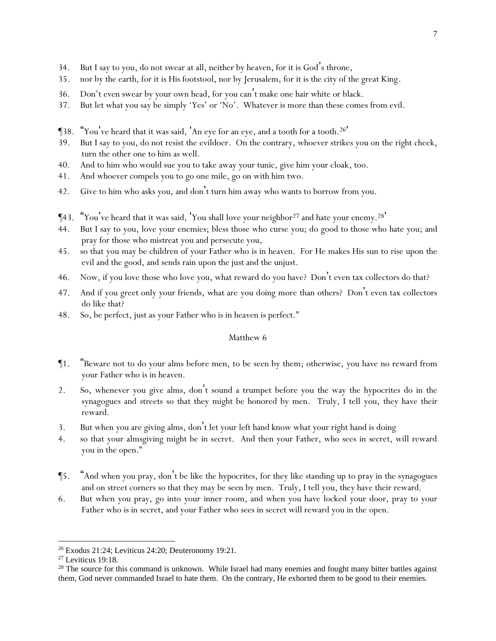- 34. But I say to *y*ou, do not swear at all, neither by heaven, for it is God's throne,
- 35. nor by the earth, for it is His footstool, nor by Jerusalem, for it is the city of the great King.
- 36. Don't even swear by your own head, for you can't make one hair white or black.
- 37. But let what *y*ou say be simply 'Yes' *or* 'No'. Whatever is more than these comes from evil.
- ¶38. "*Y*ou've heard that it was said, 'An eye for an eye, and a tooth for a tooth.<sup>26</sup> '
- 39. But I say to *y*ou, do not resist the evildoer. On the contrary, whoever strikes you on the right cheek, turn the other one to him as well.
- 40. And to him who would sue you to take away your tunic, give him your cloak, too.
- 41. And whoever compels you *to go* one mile, go on with him two.
- 42. Give to him who asks you, and don't turn him away who wants to borrow from you.
- ¶43. "*Y*ou've heard that it was said, 'You shall love your neighbor<sup>27</sup> and hate your enemy.<sup>28</sup> '
- 44. But I say to *y*ou, love *y*our enemies; bless those who curse *y*ou; do good to those who hate *y*ou; and pray for those who mistreat *y*ou and persecute *y*ou,
- 45. so that *y*ou may be children of *y*our Father who is in heaven. For He makes His sun to rise upon the evil and the good, and sends rain upon the just and the unjust.
- 46. Now, if *y*ou love those who love *y*ou, what reward do *y*ou have? Don't even tax collectors do that?
- 47. And if *y*ou greet only *y*our friends, what are *y*ou doing more *than others*? Don't even tax collectors do like that?
- 48. So, be perfect, just as *y*our Father who is in heaven is perfect."

- ¶1. "Beware not to do *y*our alms before men, to be seen by them; otherwise, *y*ou have no reward from *y*our Father who is in heaven.
- 2. So, whenever you give alms, don't sound a trumpet before you the way the hypocrites do in the synagogues and streets so that they might be honored by men. Truly, I tell *y*ou, they have their reward.
- 3. But when you are giving alms, don't let your left hand know what your right hand is doing
- 4. so that your almsgiving might be in secret. And then your Father, who sees in secret, will reward you in the open."
- ¶5. "And when you pray, don't be like the hypocrites, for they like standing up to pray in the synagogues and on street corners so that they may be seen by men. Truly, I tell *y*ou, they have their reward.
- 6. But when you pray, go into your inner room, and when you have locked your door, pray to your Father who is in secret, and your Father who sees in secret will reward you in the open.

<sup>26</sup> Exodus 21:24; Leviticus 24:20; Deuteronomy 19:21.

<sup>27</sup> Leviticus 19:18.

 $28$  The source for this command is unknown. While Israel had many enemies and fought many bitter battles against them, God never commanded Israel to hate them. On the contrary, He exhorted them to be good to their enemies.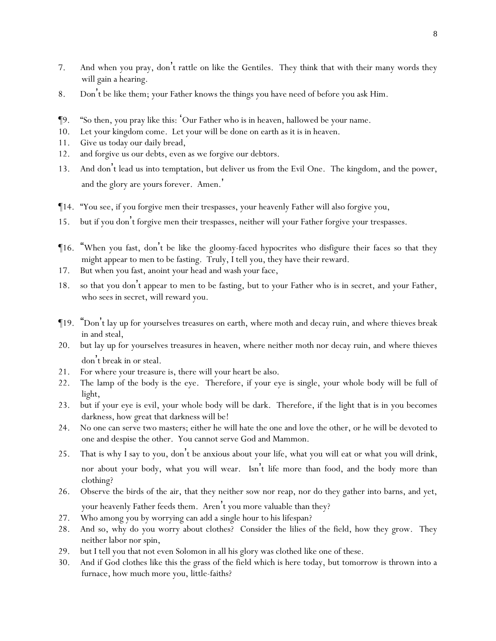- 7. And when *y*ou pray, don't rattle on like the Gentiles. They think that with their many words they will gain a hearing.
- 8. Don't be like them; *y*our Father knows the things *y*ou have need of before *y*ou ask Him.
- ¶9. "So then, *y*ou pray like this: 'Our Father who is in heaven, hallowed be your name.
- 10. Let your kingdom come. Let your will be done on earth as it is in heaven.
- 11. Give us today our daily bread,
- 12. and forgive us our debts, even as we forgive our debtors.
- 13. And don't lead us into temptation, but deliver us from the Evil One. The kingdom, and the power, and the glory are yours forever. Amen. '
- ¶14. "You see, if *y*ou forgive men their trespasses, *y*our heavenly Father will also forgive *y*ou,
- 15. but if *y*ou don't forgive men their trespasses, neither will *y*our Father forgive *y*our trespasses.
- ¶16. "When *y*ou fast, don't be like the gloomy-faced hypocrites who disfigure their faces so that they might appear to men to be fasting. Truly, I tell *y*ou, they have their reward.
- 17. But when you fast, anoint your head and wash your face,
- 18. so that you don't appear to men to be fasting, but to your Father who is in secret, and your Father, who sees in secret, will reward you.
- ¶19. "Don't lay up for *y*ourselves treasures on earth, where moth and decay ruin, and where thieves break in and steal,
- 20. but lay up for *y*ourselves treasures in heaven, where neither moth nor decay ruin, and where thieves don't break in or steal.
- 21. For where *y*our treasure is, there will *y*our heart be also.
- 22. The lamp of the body is the eye. Therefore, if your eye is single, your whole body will be full of light,
- 23. but if your eye is evil, your whole body will be dark. Therefore, if the light that is in you becomes darkness, how great that darkness will be!
- 24. No one can serve two masters; either he will hate the one and love the other, or he will be devoted to one and despise the other. *Y*ou cannot serve God and Mammon.
- 25. That is why I say to *y*ou, don't be anxious about *y*our life, what *y*ou will eat or what *y*ou will drink, nor about *y*our body, what *y*ou will wear. Isn't life more than food, and the body more than clothing?
- 26. Observe the birds of the air, that they neither sow nor reap, nor do they gather into barns, and yet, *y*our heavenly Father feeds them. Aren't *y*ou more valuable than they?
- 27. Who among *y*ou by worrying can add a single hour to his lifespan?
- 28. And so, why do *y*ou worry about clothes? Consider the lilies of the field, how they grow. They neither labor nor spin,
- 29. but I tell *y*ou that not even Solomon in all his glory was clothed like one of these.
- 30. And if God clothes like this the grass of the field which is here today, but tomorrow is thrown into a furnace, how much more *y*ou, little-faiths?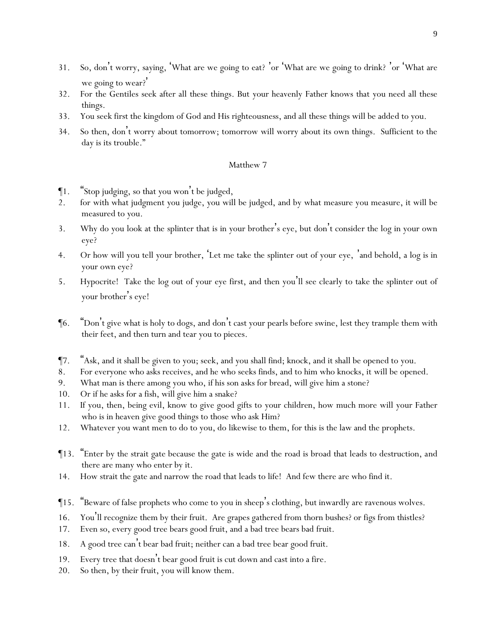- 31. So, don't worry, saying, 'What are we going to eat? 'or 'What are we going to drink? 'or 'What are we going to wear?
- 32. For the Gentiles seek after all these things. But *y*our heavenly Father knows that *y*ou need all these things.
- 33. *Y*ou seek first the kingdom of God and His righteousness, and all these things will be added to *y*ou.
- 34. So then, don't worry about tomorrow; tomorrow will worry about its own things. Sufficient to the day is its trouble."

- ¶1. "Stop judging, so that *y*ou won't be judged,
- 2. for with what judgment *y*ou judge, *y*ou will be judged, and by what measure *y*ou measure, it will be measured to *y*ou.
- 3. Why do you look at the splinter that is in your brother 's eye, but don't consider the log in your own eye?
- 4. Or how will you tell your brother, 'Let me take the splinter out of your eye, 'and behold, a log is in your own eye?
- 5. Hypocrite! Take the log out of your eye first, and then you'll see clearly to take the splinter out of your brother's eye!
- ¶6. "Don't give what is holy to dogs, and don't cast *y*our pearls before swine, lest they trample them with their feet, and then turn and tear *y*ou to pieces.
- ¶7. "Ask, and it shall be given to *y*ou; seek, and *y*ou shall find; knock, and it shall be opened to *y*ou.
- 8. For everyone who asks receives, and he who seeks finds, and to him who knocks, it will be opened.
- 9. What man is there among *y*ou who, if his son asks for bread, will give him a stone?
- 10. Or if he asks for a fish, will give him a snake?
- 11. If *y*ou, then, being evil, know to give good gifts to *y*our children, how much more will *y*our Father who is in heaven give good things to those who ask Him?
- 12. Whatever *y*ou want men to do to *y*ou, do likewise to them, for this is the law and the prophets.
- ¶13. "Enter by the strait gate because the gate is wide and the road is broad that leads to destruction, and there are many who enter by it.
- 14. How strait the gate and narrow the road that leads to life! And few there are who find it.
- ¶15. "Beware of false prophets who come to *y*ou in sheep's clothing, but inwardly are ravenous wolves.
- 16. *Y*ou'll recognize them by their fruit. Are grapes gathered from thorn bushes? or figs from thistles?
- 17. Even so, every good tree bears good fruit, and a bad tree bears bad fruit.
- 18. A good tree can't bear bad fruit; neither can a bad tree bear good fruit.
- 19. Every tree that doesn't bear good fruit is cut down and cast into a fire.
- 20. So then, by their fruit, *y*ou will know them.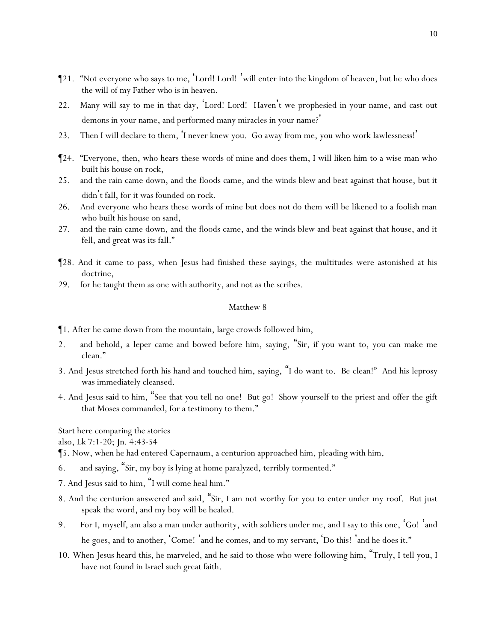- ¶21. "Not everyone who says to me, 'Lord! Lord! 'will enter into the kingdom of heaven, but he who does the will of my Father who is in heaven.
- 22. Many will say to me in that day, 'Lord! Lord! Haven't we prophesied in your name, and cast out demons in your name, and performed many miracles in your name? '
- 23. Then I will declare to them, 'I never knew *y*ou. Go away from me, *y*ou who work lawlessness!'
- ¶24. "Everyone, then, who hears these words of mine and does them, I will liken him to a wise man who built his house on rock,
- 25. and the rain came down, and the floods came, and the winds blew and beat against that house, but it didn't fall, for it was founded on rock.
- 26. And everyone who hears these words of mine but does not do them will be likened to a foolish man who built his house on sand,
- 27. and the rain came down, and the floods came, and the winds blew and beat against that house, and it fell, and great was its fall."
- ¶28. And it came to pass, when Jesus had finished these sayings, the multitudes were astonished at his doctrine,
- 29. for he taught them as one with authority, and not as the scribes.

- ¶1. After he came down from the mountain, large crowds followed him,
- 2. and behold, a leper came and bowed before him, saying, "Sir, if you want to, you can make me clean."
- 3. And Jesus stretched forth his hand and touched him, saying, "I do want to. Be clean!" And his leprosy was immediately cleansed.
- 4. And Jesus said to him, "See that you tell no one! But go! Show yourself to the priest and offer the gift that Moses commanded, for a testimony to them."

*Start here comparing the stories*

*also, Lk 7:1-20; Jn. 4:43-54*

¶5. Now, when he had entered Capernaum, a centurion approached him, pleading with him,

- 6. and saying, "Sir, my boy is lying at home paralyzed, terribly tormented."
- 7. And Jesus said to him, "I will come heal him."
- 8. And the centurion answered and said, "Sir, I am not worthy for you to enter under my roof. But just speak the word, and my boy will be healed.
- 9. For I, myself, am also a man under authority, with soldiers under me, and I say to this one, 'Go! 'and he goes, and to another, 'Come!' and he comes, and to my servant, 'Do this!' and he does it."
- 10. When Jesus heard this, he marveled, and he said to those who were following him, "Truly, I tell *y*ou, I have not found in Israel such great faith.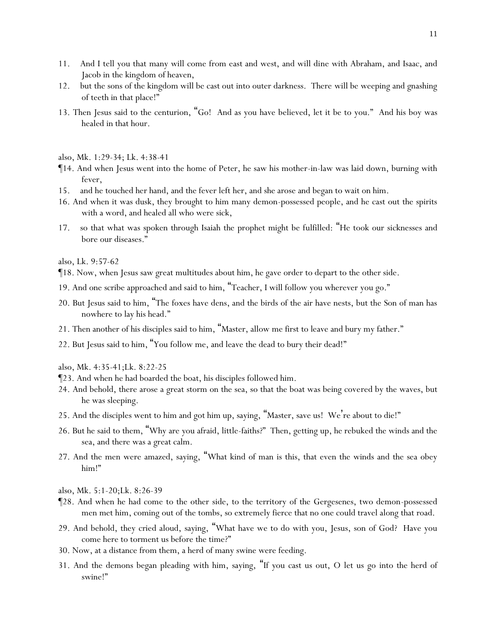- 11. And I tell *y*ou that many will come from east and west, and will dine with Abraham, and Isaac, and Jacob in the kingdom of heaven,
- 12. but the sons of the kingdom will be cast out into outer darkness. There will be weeping and gnashing of teeth in that place!"
- 13. Then Jesus said to the centurion, "Go! And as you have believed, let it be to you." And his boy was healed in that hour.
- *also, Mk. 1:29-34; Lk. 4:38-41*
- ¶14. And when Jesus went into the home of Peter, he saw his mother-in-law was laid down, burning with fever,
- 15. and he touched her hand, and the fever left her, and she arose and began to wait on him.
- 16. And when it was dusk, they brought to him many demon-possessed people, and he cast out the spirits with a word, and healed all who were sick,
- 17. so that what was spoken through Isaiah the prophet might be fulfilled: "He took our sicknesses and bore our diseases."

*also, Lk. 9:57-62*

- ¶18. Now, when Jesus saw great multitudes about him, he gave order to depart to the other side.
- 19. And one scribe approached and said to him, "Teacher, I will follow you wherever you go."
- 20. But Jesus said to him, "The foxes have dens, and the birds of the air have nests, but the Son of man has nowhere to lay his head."
- 21. Then another of his disciples said to him, "Master, allow me first to leave and bury my father."
- 22. But Jesus said to him, "You follow me, and leave the dead to bury their dead!"

*also, Mk. 4:35-41;Lk. 8:22-25*

- ¶23. And when he had boarded the boat, his disciples followed him.
- 24. And behold, there arose a great storm on the sea, so that the boat was being covered by the waves, but he was sleeping.
- 25. And the disciples went to him and got him up, saying, "Master, save us! We're about to die!"
- 26. But he said to them, "Why are *y*ou afraid, little-faiths?" Then, getting up, he rebuked the winds and the sea, and there was a great calm.
- 27. And the men were amazed, saying, "What kind of man is this, that even the winds and the sea obey him!"
- *also, Mk. 5:1-20;Lk. 8:26-39*
- ¶28. And when he had come to the other side, to the territory of the Gergesenes, two demon-possessed men met him, coming out of the tombs, so extremely fierce that no one could travel along that road.
- 29. And behold, they cried aloud, saying, "What have we to do with you, Jesus, son of God? Have you come here to torment us before the time?"
- 30. Now, at a distance from them, a herd of many swine were feeding.
- 31. And the demons began pleading with him, saying, "If you cast us out, O let us go into the herd of swine!"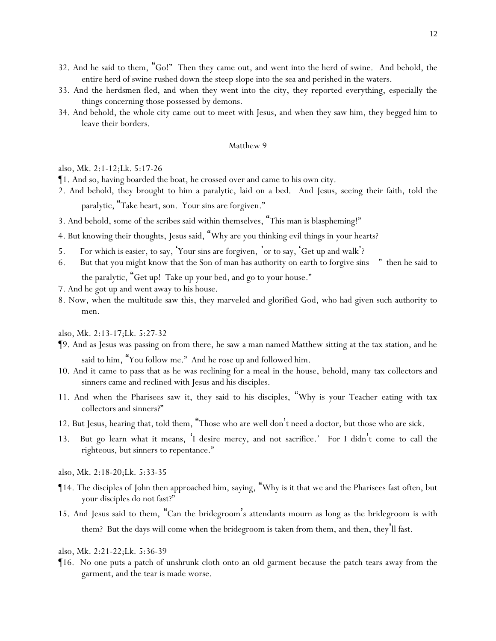- 32. And he said to them, "Go!" Then they came out, and went into the herd of swine. And behold, the entire herd of swine rushed down the steep slope into the sea and perished in the waters.
- 33. And the herdsmen fled, and when they went into the city, they reported everything, especially the things concerning those possessed by demons.
- 34. And behold, the whole city came out to meet with Jesus, and when they saw him, they begged him to leave their borders.

*also, Mk. 2:1-12;Lk. 5:17-26*

- ¶1. And so, having boarded the boat, he crossed over and came to his own city.
- 2. And behold, they brought to him a paralytic, laid on a bed. And Jesus, seeing their faith, told the paralytic, "Take heart, son. Your sins are forgiven."
- 3. And behold, some of the scribes said within themselves, "This man is blaspheming!"
- 4. But knowing their thoughts, Jesus said, "Why are *y*ou thinking evil things in *y*our hearts?
- 5. For which is easier, to say, 'Your sins are forgiven, 'or to say, 'Get up and walk'?
- 6. But that *y*ou might know that the Son of man has authority on earth to forgive sins " then he said to the paralytic, "Get up! Take up your bed, and go to your house."
- 7. And he got up and went away to his house.
- 8. Now, when the multitude saw *this*, they marveled and glorified God, who had given such authority to men.

## *also, Mk. 2:13-17;Lk. 5:27-32*

- ¶9. And as Jesus was passing on from there, he saw a man named Matthew sitting at the tax station, and he said to him, "You follow me." And he rose up and followed him.
- 10. And it came to pass that as he was reclining for a meal in the house, behold, many tax collectors and sinners came and reclined with Jesus and his disciples.
- 11. And when the Pharisees saw *it*, they said to his disciples, "Why is *y*our Teacher eating with tax collectors and sinners?"
- 12. But Jesus, hearing that, told them, "Those who are well don't need a doctor, but those who are sick.
- 13. But go learn what it means, 'I desire mercy, and not sacrifice.' For I didn't come to call the righteous, but sinners to repentance."
- *also, Mk. 2:18-20;Lk. 5:33-35*
- ¶14. The disciples of John then approached him, saying, "Why is it that we and the Pharisees fast often, but your disciples do not fast?"
- 15. And Jesus said to them, "Can the bridegroom's attendants mourn as long as the bridegroom is with them? But the days will come when the bridegroom is taken from them, and then, they'll fast.
- *also, Mk. 2:21-22;Lk. 5:36-39*
- ¶16. No one puts a patch of unshrunk cloth onto an old garment because the patch tears away from the garment, and the tear is made worse.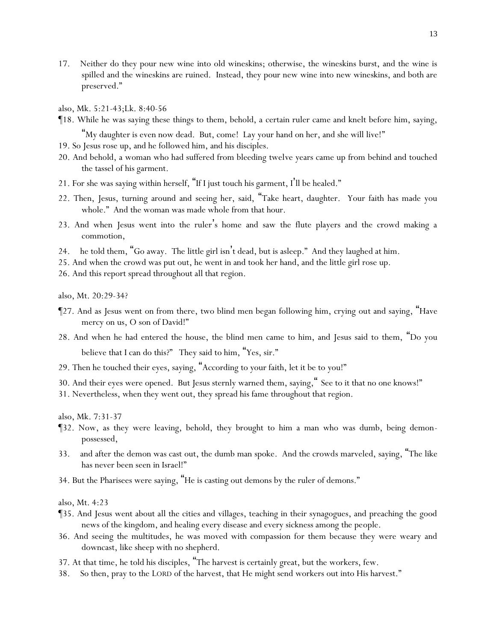- 17. Neither do they pour new wine into old wineskins; otherwise, the wineskins burst, and the wine is spilled and the wineskins are ruined. Instead, they pour new wine into new wineskins, and both are preserved."
- *also, Mk. 5:21-43;Lk. 8:40-56*
- ¶18. While he was saying these things to them, behold, a certain ruler came and knelt before him, saying,

"My daughter is even now dead. But, come! Lay your hand on her, and she will live!"

- 19. So Jesus rose up, and he followed him, and his disciples.
- 20. And behold, a woman who had suffered from bleeding twelve years came up from behind and touched the tassel of his garment.
- 21. For she was saying within herself, "If I just touch his garment, I'll be healed."
- 22. Then, Jesus, turning around and seeing her, said, "Take heart, daughter. Your faith has made you whole." And the woman was made whole from that hour.
- 23. And when Jesus went into the ruler's home and saw the flute players and the crowd making a commotion,
- 24. he told them, "Go away. The little girl isn't dead, but is asleep." And they laughed at him.
- 25. And when the crowd was put out, he went in and took her hand, and the little girl rose up.
- 26. And this report spread throughout all that region.

*also, Mt. 20:29-34?*

- ¶27. And as Jesus went on from there, two blind men began following him, crying out and saying, "Have mercy on us, O son of David!"
- 28. And when he had entered the house, the blind men came to him, and Jesus said to them, "Do *y*ou believe that I can do this?" They said to him, "Yes, sir."
- 29. Then he touched their eyes, saying, "According to *y*our faith, let it be to *y*ou!"
- 30. And their eyes were opened. But Jesus sternly warned them, saying," See to it that no one knows!"
- 31. Nevertheless, when they went out, they spread his fame throughout that region.

*also, Mk. 7:31-37*

- ¶32. Now, as they were leaving, behold, they brought to him a man who was dumb, being demonpossessed,
- 33. and after the demon was cast out, the dumb man spoke. And the crowds marveled, saying, "The like has never been seen in Israel!"
- 34. But the Pharisees were saying, "He is casting out demons by the ruler of demons."

*also, Mt. 4:23*

- ¶35. And Jesus went about all the cities and villages, teaching in their synagogues, and preaching the good news of the kingdom, and healing every disease and every sickness among the people.
- 36. And seeing the multitudes, he was moved with compassion for them because they were weary and downcast, like sheep with no shepherd.
- 37. At that time, he told his disciples, "The harvest is certainly great, but the workers, few.
- 38. So then, pray to the LORD of the harvest, that He might send workers out into His harvest."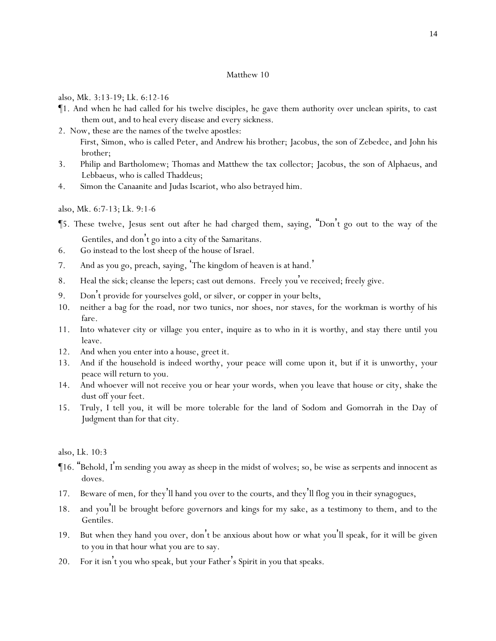*also, Mk. 3:13-19; Lk. 6:12-16*

- ¶1. And when he had called for his twelve disciples, he gave them authority over unclean spirits, to cast them out, and to heal every disease and every sickness.
- 2. Now, these are the names of the twelve apostles: First, Simon, who is called Peter, and Andrew his brother; Jacobus, the son of Zebedee, and John his brother;
- 3. Philip and Bartholomew; Thomas and Matthew the tax collector; Jacobus, the son of Alphaeus, and Lebbaeus, who is called Thaddeus;
- 4. Simon the Canaanite and Judas Iscariot, who also betrayed him.

*also, Mk. 6:7-13; Lk. 9:1-6*

- ¶5. These twelve, Jesus sent out after he had charged them, saying, "Don't go out to the way of the Gentiles, and don't go into a city of the Samaritans.
- 6. Go instead to the lost sheep of the house of Israel.
- 7. And as *y*ou go, preach, saying, 'The kingdom of heaven is at hand. '
- 8. Heal the sick; cleanse the lepers; cast out demons. Freely *y*ou've received; freely give.
- 9. Don't provide for *y*ourselves gold, or silver, or copper in *y*our belts,
- 10. neither a bag for the road, nor two tunics, nor shoes, nor staves, for the workman is worthy of his fare.
- 11. Into whatever city or village *y*ou enter, inquire as to who in it is worthy, and stay there until *y*ou leave.
- 12. And when *y*ou enter into a house, greet it.
- 13. And if the household is indeed worthy, *y*our peace will come upon it, but if it is unworthy, *y*our peace will return to *y*ou.
- 14. And whoever will not receive *y*ou or hear *y*our words, when *y*ou leave that house or city, shake the dust off *y*our feet.
- 15. Truly, I tell *y*ou, it will be more tolerable for the land of Sodom and Gomorrah in the Day of Judgment than for that city.

*also, Lk. 10:3*

- ¶16. "Behold, I'm sending *y*ou away as sheep in the midst of wolves; so, be wise as serpents and innocent as doves.
- 17. Beware of men, for they'll hand *y*ou over to the courts, and they'll flog *y*ou in their synagogues,
- 18. and *y*ou'll be brought before governors and kings for my sake, as a testimony to them, and to the Gentiles.
- 19. But when they hand *y*ou over, don't be anxious about how or what *y*ou'll speak, for it will be given to *y*ou in that hour what *y*ou are to say.
- 20. For it isn't *y*ou who speak, but *y*our Father's Spirit in *y*ou that speaks.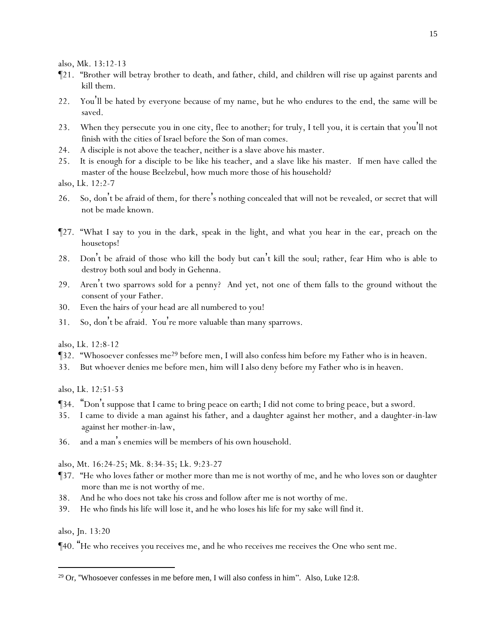*also, Mk. 13:12-13*

- ¶21. "Brother will betray brother to death, and father, child, and children will rise up against parents and kill them.
- 22. *Y*ou'll be hated by everyone because of my name, but he who endures to the end, the same will be saved.
- 23. When they persecute *y*ou in one city, flee to another; for truly, I tell *y*ou, it is certain that *y*ou'll not finish *with* the cities of Israel before the Son of man comes.
- 24. A disciple is not above the teacher, neither is a slave above his master.
- 25. It is enough for a disciple to be like his teacher, and a slave like his master. If men have called the master of the house Beelzebul, how much more those of his household?
- *also, Lk. 12:2-7*
- 26. So, don't be afraid of them, for there's nothing concealed that will not be revealed, or secret that will not be made known.
- ¶27. "What I say to *y*ou in the dark, speak in the light, and what *y*ou hear in the ear, preach on the housetops!
- 28. Don't be afraid of those who kill the body but can't kill the soul; rather, fear Him who is able to destroy both soul and body in Gehenna.
- 29. Aren't two sparrows sold for a penny? And yet, not one of them falls to the ground without the consent of *y*our Father.
- 30. Even the hairs of *y*our head are all numbered *to you*!
- 31. So, don't be afraid. *Y*ou're more valuable than many sparrows.

*also, Lk. 12:8-12*

- ¶32. "Whosoever confesses me<sup>29</sup> before men, I will also confess him before my Father who is in heaven.
- 33. But whoever denies me before men, him will I also deny before my Father who is in heaven.

*also, Lk. 12:51-53*

- ¶34. "Don't suppose that I came to bring peace on earth; I did not come to bring peace, but a sword.
- 35. I came to divide a man against his father, and a daughter against her mother, and a daughter-in-law against her mother-in-law,
- 36. and a man's enemies will be members of his own household.

*also, Mt. 16:24-25; Mk. 8:34-35; Lk. 9:23-27*

- ¶37. "He who loves father or mother more than me is not worthy of me, and he who loves son or daughter more than me is not worthy of me.
- 38. And he who does not take his cross and follow after me is not worthy of me.
- 39. He who finds his life will lose it, and he who loses his life for my sake will find it.

*also, Jn. 13:20*

¶40. "He who receives *y*ou receives me, and he who receives me receives the One who sent me.

 $29$  Or, "Whosoever confesses in me before men, I will also confess in him". Also, Luke 12:8.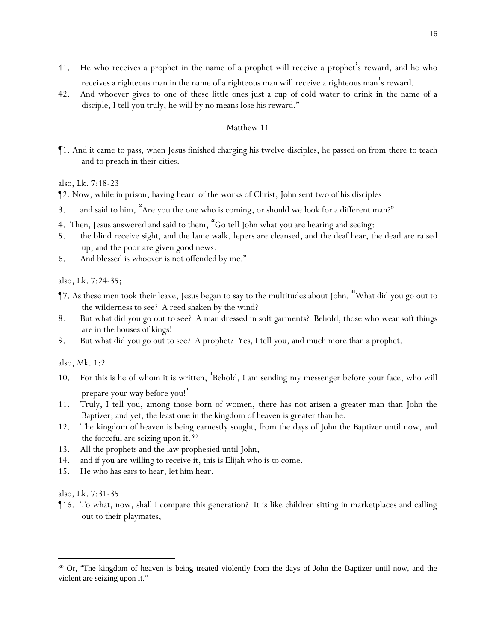- 41. He who receives a prophet in the name of a prophet will receive a prophet's reward, and he who receives a righteous man in the name of a righteous man will receive a righteous man's reward.
- 42. And whoever gives to one of these little ones just a cup of cold water to drink in the name of a disciple, I tell *y*ou truly, he will by no means lose his reward."

¶1. And it came to pass, when Jesus finished charging his twelve disciples, he passed on from there to teach and to preach in their cities.

*also, Lk. 7:18-23*

¶2. Now, while in prison, having heard of the works of Christ, John sent two of his disciples

- 3. and said to him, "Are you the one who is coming, or should we look for a different man?"
- 4. Then, Jesus answered and said to them, "Go tell John what *y*ou are hearing and seeing:
- 5. the blind receive sight, and the lame walk, lepers are cleansed, and the deaf hear, the dead are raised up, and the poor are given good news.
- 6. And blessed is whoever is not offended by me."

*also, Lk. 7:24-35;*

- ¶7. As these men took their leave, Jesus began to say to the multitudes about John, "What did *y*ou go out to the wilderness to see? A reed shaken by the wind?
- 8. But what did *y*ou go out to see? A man dressed in soft garments? Behold, those who wear soft things are in the houses of kings!
- 9. But what did *y*ou go out to see? A prophet? Yes, I tell *y*ou, and much more than a prophet.

*also, Mk. 1:2*

- 10. For this is he of whom it is written, 'Behold, I am sending my messenger before your face, who will prepare your way before you!'
- 11. Truly, I tell *y*ou, among those born of women, there has not arisen a greater man than John the Baptizer; and yet, the least one in the kingdom of heaven is greater than he.
- 12. The kingdom of heaven is being earnestly sought, from the days of John the Baptizer until now, and the forceful are seizing upon it.  $30$
- 13. All the prophets and the law prophesied until John,
- 14. and if *y*ou are willing to receive *it*, this is Elijah who is to come.
- 15. He who has ears to hear, let him hear.

*also, Lk. 7:31-35*

¶16. To what, now, shall I compare this generation? It is like children sitting in marketplaces and calling out to their playmates,

<sup>&</sup>lt;sup>30</sup> Or, "The kingdom of heaven is being treated violently from the days of John the Baptizer until now, and the violent are seizing upon it."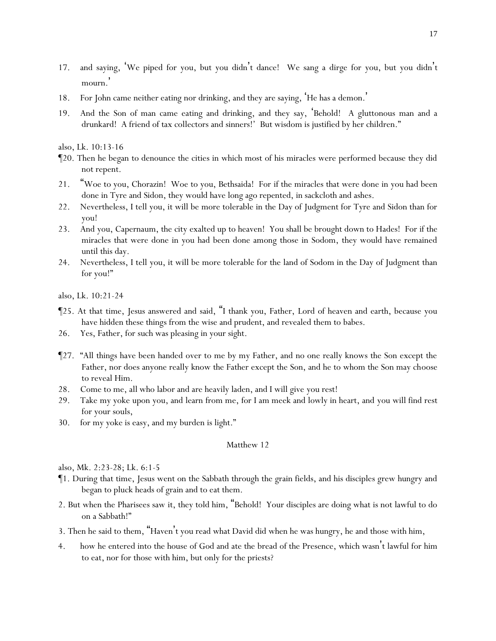- 17. and saying, 'We piped for *y*ou, but *y*ou didn't dance! We sang a dirge for *y*ou, but *y*ou didn't mourn.'
- 18. For John came neither eating nor drinking, and they are saying, 'He has a demon. '
- 19. *And* the Son of man came eating and drinking, and they say, 'Behold! A gluttonous man and a drunkard! A friend of tax collectors and sinners!' But wisdom is justified by her children."

*also, Lk. 10:13-16*

- ¶20. Then he began to denounce the cities in which most of his miracles were performed because they did not repent.
- 21. "Woe to you, Chorazin! Woe to you, Bethsaida! For if the miracles that were done in *y*ou had been done in Tyre and Sidon, they would have long ago repented, in sackcloth and ashes.
- 22. Nevertheless, I tell *y*ou, it will be more tolerable in the Day of Judgment for Tyre and Sidon than for *y*ou!
- 23. And you, Capernaum, the *city* exalted up to heaven! You shall be brought down to Hades! For if the miracles that were done in you had been done among those in Sodom, they would have remained until this day.
- 24. Nevertheless, I tell *y*ou, it will be more tolerable for the land of Sodom in the Day of Judgment than for you!"

*also, Lk. 10:21-24*

- ¶25. At that time, Jesus answered and said, "I thank you, Father, Lord of heaven and earth, because you have hidden these things from the wise and prudent, and revealed them to babes.
- 26. Yes, Father, for such was pleasing in your sight.
- ¶27. "All things have been handed over to me by my Father, and no one really knows the Son except the Father, nor does anyone really know the Father except the Son, and he to whom the Son may choose to reveal Him.
- 28. Come to me, all who labor and are heavily laden, and I will give *y*ou rest!
- 29. Take my yoke upon *y*ou, and learn from me, for I am meek and lowly in heart, and *y*ou will find rest for *y*our souls,
- 30. for my yoke is easy, and my burden is light."

# Matthew 12

*also, Mk. 2:23-28; Lk. 6:1-5*

- ¶1. During that time, Jesus went on the Sabbath through the grain fields, and his disciples grew hungry and began to pluck heads of grain and to eat them.
- 2. But when the Pharisees saw it, they told him, "Behold! Your disciples are doing what is not lawful to do on a Sabbath!"
- 3. Then he said to them, "Haven't *y*ou read what David did when he was hungry, he and those with him,
- 4. how he entered into the house of God and ate the bread of the Presence, which wasn't lawful for him to eat, nor for those with him, but only for the priests?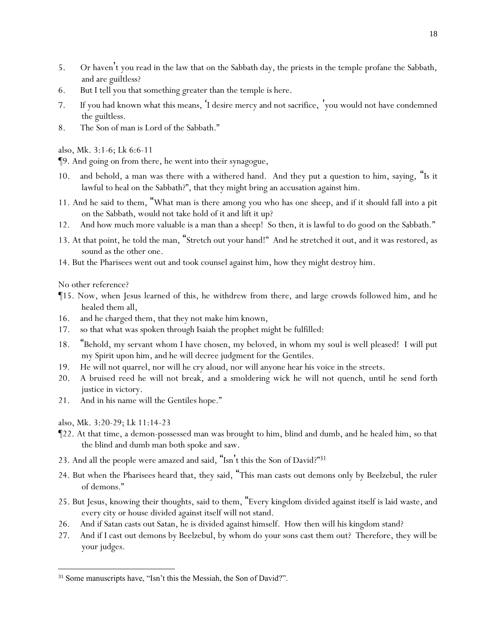- 5. Or haven't *y*ou read in the law that on the Sabbath day, the priests in the temple profane the Sabbath, and are guiltless?
- 6. But I tell *y*ou that something greater than the temple is here.
- 7. If *y*ou had known what this means, 'I desire mercy and not sacrifice, '*y*ou would not have condemned the guiltless.
- 8. The Son of man is Lord of the Sabbath."

*also, Mk. 3:1-6; Lk 6:6-11*

¶9. And going on from there, he went into their synagogue,

- 10. and behold, a man was there with a withered hand. And they put a question to him, saying, "Is it lawful to heal on the Sabbath?", that they might bring an accusation against him.
- 11. And he said to them, "What man is there among *y*ou who has one sheep, and if it should fall into a pit on the Sabbath, would not take hold of it and lift it up?
- 12. And how much more valuable is a man than a sheep! So then, it is lawful to do good on the Sabbath."
- 13. At that point, he told the man, "Stretch out your hand!" And he stretched it out, and it was restored, as sound as the other one.
- 14. But the Pharisees went out and took counsel against him, how they might destroy him.

*No other reference?*

- ¶15. Now, when Jesus learned of this, he withdrew from there, and large crowds followed him, and he healed them all,
- 16. and he charged them, that they not make him known,
- 17. so that what was spoken through Isaiah the prophet might be fulfilled:
- 18. "Behold, my servant whom I have chosen, my beloved, in whom my soul is well pleased! I will put my Spirit upon him, and he will decree judgment for the Gentiles.
- 19. He will not quarrel, nor will he cry aloud, nor will anyone hear his voice in the streets.
- 20. A bruised reed he will not break, and a smoldering wick he will not quench, until he send forth justice in victory.
- 21. And in his name will the Gentiles hope."
- *also, Mk. 3:20-29; Lk 11:14-23*
- ¶22. At that time, a demon-possessed man was brought to him, blind and dumb, and he healed him, so that the blind and dumb man both spoke and saw.
- 23. And all the people were amazed and said, "Isn't this the Son of David?"31
- 24. But when the Pharisees heard that, they said, "This man casts out demons only by Beelzebul, the ruler of demons."
- 25. But Jesus, knowing their thoughts, said to them, "Every kingdom divided against itself is laid waste, and every city or house divided against itself will not stand.
- 26. And if Satan casts out Satan, he is divided against himself. How then will his kingdom stand?
- 27. And if I cast out demons by Beelzebul, by whom do *y*our sons cast them out? Therefore, they will be *y*our judges.

<sup>&</sup>lt;sup>31</sup> Some manuscripts have, "Isn't this the Messiah, the Son of David?".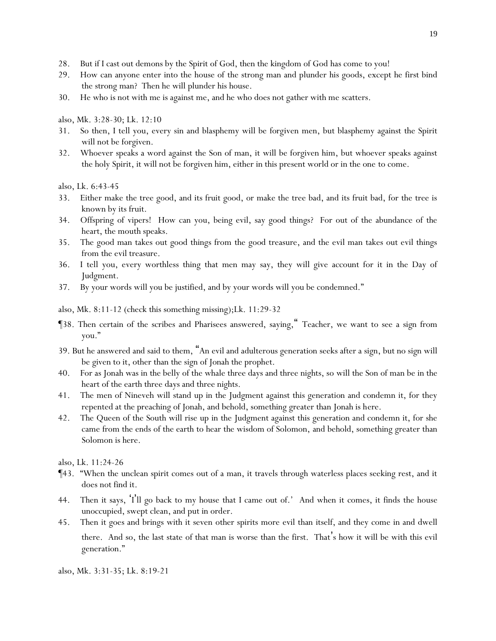- 28. But if I cast out demons by the Spirit of God, then the kingdom of God has come to *y*ou!
- 29. How can anyone enter into the house of the strong man and plunder his goods, except he first bind the strong man? Then he will plunder his house.
- 30. He who is not with me is against me, and he who does not gather with me scatters.

*also, Mk. 3:28-30; Lk. 12:10*

- 31. So then, I tell *y*ou, every sin and blasphemy will be forgiven men, but blasphemy against the Spirit will not be forgiven.
- 32. Whoever speaks a word against the Son of man, it will be forgiven him, but whoever speaks against the holy Spirit, it will not be forgiven him, either in this present world or in the one to come.

*also, Lk. 6:43-45*

- 33. Either make the tree good, and its fruit good, or make the tree bad, and its fruit bad, for the tree is known by its fruit.
- 34. Offspring of vipers! How can *y*ou, being evil, say good things? For out of the abundance of the heart, the mouth speaks.
- 35. The good man takes out good things from the good treasure, and the evil man takes out evil things from the evil treasure.
- 36. I tell *y*ou, every worthless thing that men may say, they will give account for it in the Day of Judgment.
- 37. By your words will you be justified, and by your words will you be condemned."

*also, Mk. 8:11-12 (check this something missing);Lk. 11:29-32*

- ¶38. Then certain of the scribes and Pharisees answered, saying," Teacher, we want to see a sign from you."
- 39. But he answered and said to them, "An evil and adulterous generation seeks after a sign, but no sign will be given to it, other than the sign of Jonah the prophet.
- 40. For as Jonah was in the belly of the whale three days and three nights, so will the Son of man be in the heart of the earth three days and three nights.
- 41. The men of Nineveh will stand up in the Judgment against this generation and condemn it, for they repented at the preaching of Jonah, and behold, something greater than Jonah is here.
- 42. The Queen of the South will rise up in the Judgment against this generation and condemn it, for she came from the ends of the earth to hear the wisdom of Solomon, and behold, something greater than Solomon is here.

*also, Lk. 11:24-26*

- ¶43. "When the unclean spirit comes out of a man, it travels through waterless places seeking rest, and it does not find it.
- 44. Then it says, 'I'll go back to my house that I came out of.' And when it comes, it finds *the house* unoccupied, swept clean, and put in order.
- 45. Then it goes and brings with it seven other spirits more evil than itself, and they come in and dwell there. And so, the last state of that man is worse than the first. That's how it will be with this evil generation."

*also, Mk. 3:31-35; Lk. 8:19-21*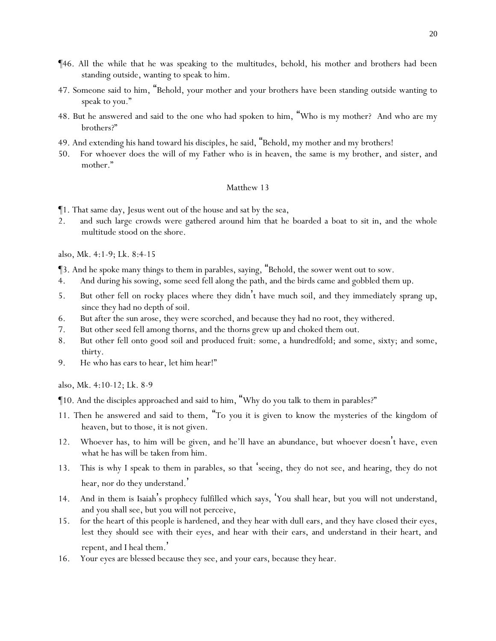- ¶46. All the while that he was speaking to the multitudes, behold, his mother and brothers had been standing outside, wanting to speak to him.
- 47. Someone said to him, "Behold, your mother and your brothers have been standing outside wanting to speak to you."
- 48. But he answered and said to the one who had spoken to him, "Who is my mother? And who are my brothers?"
- 49. And extending his hand toward his disciples, he said, "Behold, my mother and my brothers!
- 50. For whoever does the will of my Father who is in heaven, the same is my brother, and sister, and mother."

¶1. That same day, Jesus went out of the house and sat by the sea,

2. and such large crowds were gathered around him that he boarded a boat to sit in, and the whole multitude stood on the shore.

#### *also, Mk. 4:1-9; Lk. 8:4-15*

¶3. And he spoke many things to them in parables, saying, "Behold, the sower went out to sow.

- 4. And during his sowing, some *seed* fell along the path, and the birds came and gobbled them up.
- 5. But other fell on rocky places where they didn't have much soil, and they immediately sprang up, since they had no depth of soil.
- 6. But after the sun arose, they were scorched, and because they had no root, they withered.
- 7. But other *seed* fell among thorns, and the thorns grew up and choked them out.
- 8. But other fell onto good soil and produced fruit: some, a hundredfold; and some, sixty; and some, thirty.
- 9. He who has ears to hear, let him hear!"

*also, Mk. 4:10-12; Lk. 8-9*

¶10. And the disciples approached and said to him, "Why do you talk to them in parables?"

- 11. Then he answered and said to them, "To *y*ou it is given to know the mysteries of the kingdom of heaven, but to those, it is not given.
- 12. Whoever has, to him will be given, and he'll have an abundance, but whoever doesn't have, even what he has will be taken from him.
- 13. This is why I speak to them in parables, so that 'seeing, they do not see, and hearing, they do not hear, nor do they understand.'
- 14. And in them is Isaiah's prophecy fulfilled which says, '*Y*ou shall hear, but *y*ou will not understand, and *y*ou shall see, but *y*ou will not perceive,
- 15. for the heart of this people is hardened, and they hear with dull ears, and they have closed their eyes, lest they should see with their eyes, and hear with their ears, and understand in their heart, and repent, and I heal them. '
- 16. *Y*our eyes are blessed because they see, and *y*our ears, because they hear.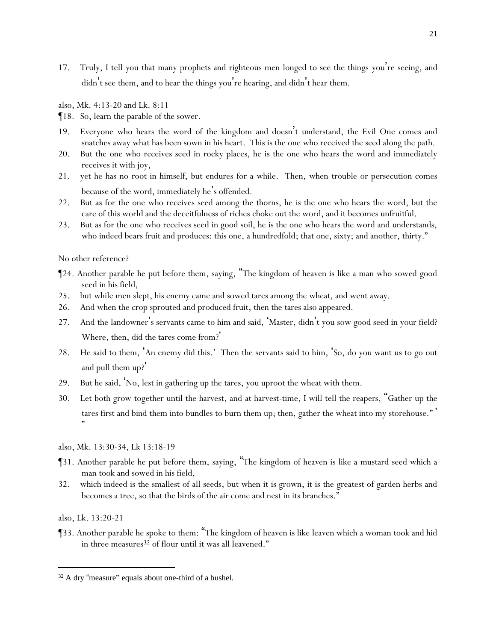17. Truly, I tell *y*ou that many prophets and righteous men longed to see the things *y*ou're seeing, and didn't see them, and to hear the things *y*ou're hearing, and didn't hear them.

*also, Mk. 4:13-20 and Lk. 8:11*

¶18. So, learn the parable of the sower.

- 19. Everyone who hears the word of the kingdom and doesn't understand, the Evil One comes and snatches away what has been sown in his heart. This is the one who received the seed along the path.
- 20. But the one who receives seed in rocky places, he is the one who hears the word and immediately receives it with joy,
- 21. yet he has no root in himself, but endures for a while. Then, when trouble or persecution comes because of the word, immediately he's offended.
- 22. But as for the one who receives seed among the thorns, he is the one who hears the word, but the care of this world and the deceitfulness of riches choke out the word, and it becomes unfruitful.
- 23. But as for the one who receives seed in good soil, he is the one who hears the word and understands, who indeed bears fruit and produces: this one, a hundredfold; that one, sixty; and another, thirty."

*No other reference?*

- ¶24. Another parable he put before them, saying, "The kingdom of heaven is like a man who sowed good seed in his field,
- 25. but while men slept, his enemy came and sowed tares among the wheat, and went away.
- 26. And when the crop sprouted and produced fruit, then the tares also appeared.
- 27. And the landowner's servants came to him and said, 'Master, didn't you sow good seed in your field? Where, then, did the tares come from? '
- 28. He said to them, 'An enemy did this.' Then the servants said to him, 'So, do you want us to go out and pull them up?'
- 29. But he said, 'No, lest in gathering up the tares, *y*ou uproot the wheat with them.
- 30. Let both grow together until the harvest, and at harvest-time, I will tell the reapers, "Gather up the tares first and bind them into bundles to burn them up; then, gather the wheat into my storehouse." ' "
- *also, Mk. 13:30-34, Lk 13:18-19*
- ¶31. Another parable he put before them, saying, "The kingdom of heaven is like a mustard seed which a man took and sowed in his field,
- 32. which indeed is the smallest of all seeds, but when it is grown, it is the greatest of garden herbs and becomes a tree, so that the birds of the air come and nest in its branches."

*also, Lk. 13:20-21*

¶33. Another parable he spoke to them: "The kingdom of heaven is like leaven which a woman took and hid in three measures<sup>32</sup> of flour until it was all leavened."

<sup>32</sup> A dry "measure" equals about one-third of a bushel.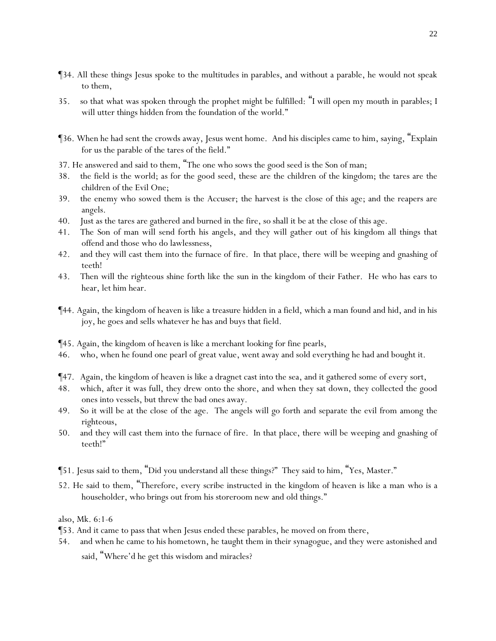- ¶34. All these things Jesus spoke to the multitudes in parables, and without a parable, he would not speak to them,
- 35. so that what was spoken through the prophet might be fulfilled: "I will open my mouth in parables; I will utter things hidden from the foundation of the world."
- ¶36. When he had sent the crowds away, Jesus went home. And his disciples came to him, saying, "Explain for us the parable of the tares of the field."
- 37. He answered and said to them, "The one who sows the good seed is the Son of man;
- 38. the field is the world; as for the good seed, these are the children of the kingdom; the tares are the children of the Evil One;
- 39. the enemy who sowed them is the Accuser; the harvest is the close of this age; and the reapers are angels.
- 40. Just as the tares are gathered and burned in the fire, so shall it be at the close of this age.
- 41. The Son of man will send forth his angels, and they will gather out of his kingdom all things that offend and those who do lawlessness,
- 42. and they will cast them into the furnace of fire. In that place, there will be weeping and gnashing of teeth!
- 43. Then will the righteous shine forth like the sun in the kingdom of their Father. He who has ears to hear, let him hear.
- ¶44. Again, the kingdom of heaven is like a treasure hidden in a field, which a man found and hid, and in his joy, he goes and sells whatever he has and buys that field.
- ¶45. Again, the kingdom of heaven is like a merchant looking for fine pearls,
- 46. who, when he found one pearl of great value, went away and sold everything he had and bought it.
- ¶47. Again, the kingdom of heaven is like a dragnet cast into the sea, and it gathered some of every sort,
- 48. which, after it was full, they drew onto the shore, and when they sat down, they collected the good ones into vessels, but threw the bad ones away.
- 49. So it will be at the close of the age. The angels will go forth and separate the evil from among the righteous,
- 50. and they will cast them into the furnace of fire. In that place, there will be weeping and gnashing of teeth!"
- ¶51. Jesus said to them, "Did *y*ou understand all these things?" They said to him, "Yes, Master."
- 52. He said to them, "Therefore, every scribe instructed in the kingdom of heaven is like a man *who is* a householder, who brings out from his storeroom new and old things."

*also, Mk. 6:1-6*

- ¶53. And it came to pass that when Jesus ended these parables, he moved on from there,
- 54. and when he came to his hometown, he taught them in their synagogue, and they were astonished and said, "Where'd he get this wisdom and miracles?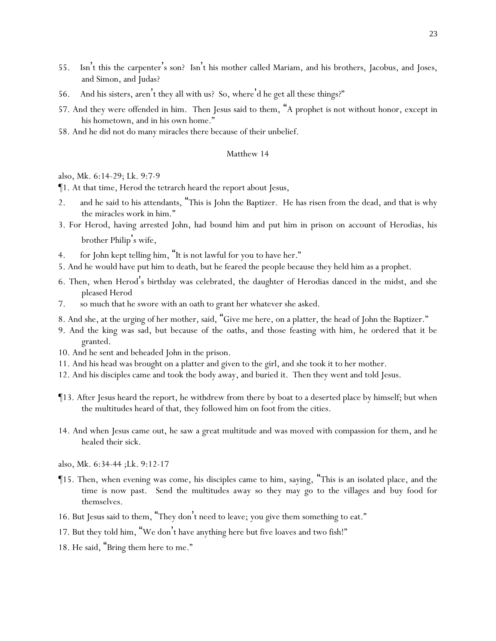- 55. Isn't this the carpenter's son? Isn't his mother called Mariam, and his brothers, Jacobus, and Joses, and Simon, and Judas?
- 56. And his sisters, aren't they all with us? So, where'd he get all these things?"
- 57. And they were offended in him. Then Jesus said to them, "A prophet is not without honor, except in his hometown, and in his own home."
- 58. And he did not do many miracles there because of their unbelief.

*also, Mk. 6:14-29; Lk. 9:7-9*

¶1. At that time, Herod the tetrarch heard the report about Jesus,

- 2. and he said to his attendants, "This is John the Baptizer. He has risen from the dead, and that is why the miracles work in him."
- 3. For Herod, having arrested John, had bound him and put him in prison on account of Herodias, his brother Philip's wife,
- 4. for John kept telling him, "It is not lawful for you to have her."
- 5. And he would have put him to death, but he feared the people because they held him as a prophet.
- 6. Then, when Herod's birthday was celebrated, the daughter of Herodias danced in the midst, and she pleased Herod
- 7. so much that he swore with an oath to grant her whatever she asked.
- 8. And she, at the urging of her mother, said, "Give me here, on a platter, the head of John the Baptizer."
- 9. And the king was sad, but because of the oaths, and those feasting with him, he ordered that it be granted.
- 10. And he sent and beheaded John in the prison.
- 11. And his head was brought on a platter and given to the girl, and she took it to her mother.
- 12. And his disciples came and took the body away, and buried it. Then they went and told Jesus.
- ¶13. After Jesus heard *the report*, he withdrew from there by boat to a deserted place by himself; but when the multitudes heard *of that*, they followed him on foot from the cities.
- 14. And when Jesus came out, he saw a great multitude and was moved with compassion for them, and he healed their sick.
- *also, Mk. 6:34-44 ;Lk. 9:12-17*
- ¶15. Then, when evening was come, his disciples came to him, saying, "This is an isolated place, and the time is now past. Send the multitudes away so they may go to the villages and buy food for themselves.
- 16. But Jesus said to them, "They don't need to leave; *y*ou give them something to eat."
- 17. But they told him, "We don't have anything here but five loaves and two fish!"
- 18. He said, "Bring them here to me."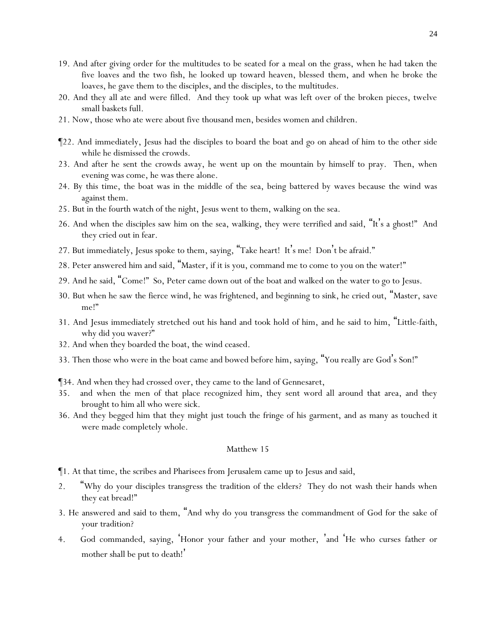- 19. And after giving order for the multitudes to be seated for a meal on the grass, when he had taken the five loaves and the two fish, he looked up toward heaven, blessed *them*, and when he broke the loaves, he gave them to the disciples, and the disciples, to the multitudes.
- 20. And they all ate and were filled. And they took up what was left over of the broken pieces, twelve small baskets full.
- 21. Now, those who ate were about five thousand men, besides women and children.
- ¶22. And immediately, Jesus had the disciples to board the boat and go on ahead of him to the other side while he dismissed the crowds.
- 23. And after he sent the crowds away, he went up on the mountain by himself to pray. Then, when evening was come, he was there alone.
- 24. By this time, the boat was in the middle of the sea, being battered by waves because the wind was against *them*.
- 25. But in the fourth watch of the night, Jesus went to them, walking on the sea.
- 26. And when the disciples saw him on the sea, walking, they were terrified and said, "It's a ghost!" And they cried out in fear.
- 27. But immediately, Jesus spoke to them, saying, "Take heart! It's me! Don't be afraid."
- 28. Peter answered him and said, "Master, if it is you, command me to come to you on the water!"
- 29. And he said, "Come!" So, Peter came down out of the boat and walked on the water to go to Jesus.
- 30. But when he saw the fierce wind, he was frightened, and beginning to sink, he cried out, "Master, save me!"
- 31. And Jesus immediately stretched out his hand and took hold of him, and he said to him, "Little-faith, why did you waver?"
- 32. And when they boarded the boat, the wind ceased.
- 33. Then those who were in the boat came and bowed before him, saying, "You really are God's Son!"

¶34. And when they had crossed over, they came to the land of Gennesaret,

- 35. and when the men of that place recognized him, they sent word all around that area, and they brought to him all who were sick.
- 36. And they begged him that they might just touch the fringe of his garment, and as many as touched it were made completely whole.

## Matthew 15

¶1. At that time, the scribes and Pharisees from Jerusalem came up to Jesus and said,

- 2. "Why do your disciples transgress the tradition of the elders? They do not wash their hands when they eat bread!"
- 3. He answered and said to them, "And why do *y*ou transgress the commandment of God for the sake of *y*our tradition?
- 4. God commanded, saying, 'Honor *your* father and *your* mother, 'and 'He who curses father or mother shall be put to death!'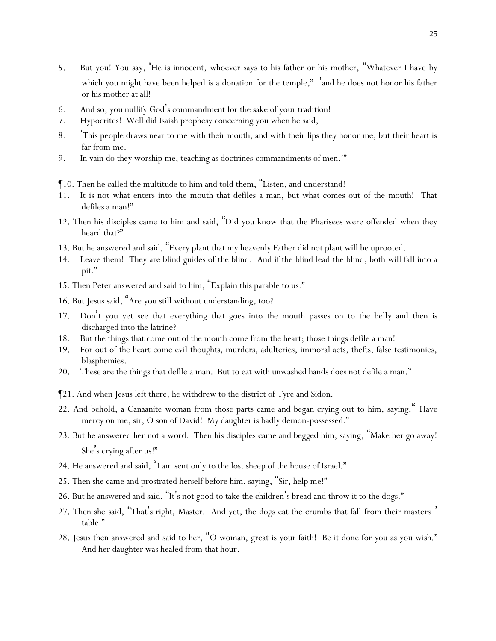- 5. But *y*ou! *Y*ou say, '*He is innocent*, whoever says to his father or his mother, "Whatever I have *by which* you might have been helped is a donation *for the temple*," 'and he does not honor his father or his mother at all!
- 6. And so, *y*ou nullify God's commandment for the sake of *y*our tradition!
- 7. Hypocrites! Well did Isaiah prophesy concerning *y*ou when he said,
- 8. 'This people draws near to me with their mouth, and with their lips they honor me, but their heart is far from me.
- 9. In vain do they worship me, teaching as doctrines commandments of men.'"
- ¶10. Then he called the multitude to him and told them, "Listen, and understand!
- 11. It is not what enters into the mouth that defiles a man, but what comes out of the mouth! That defiles a man!"
- 12. Then his disciples came to him and said, "Did you know that the Pharisees were offended when they heard that?"
- 13. But he answered and said, "Every plant that my heavenly Father did not plant will be uprooted.
- 14. Leave them! They are blind guides of the blind. And if the blind lead the blind, both will fall into a pit."
- 15. Then Peter answered and said to him, "Explain this parable to us."
- 16. But Jesus said, "Are *y*ou still without understanding, too?
- 17. Don't *y*ou yet see that everything that goes into the mouth passes on to the belly and then is discharged into the latrine?
- 18. But the things that come out of the mouth come from the heart; those things defile a man!
- 19. For out of the heart come evil thoughts, murders, adulteries, immoral acts, thefts, false testimonies, blasphemies.
- 20. These are the things that defile a man. But to eat with unwashed hands does not defile a man."
- ¶21. And when Jesus left there, he withdrew to the district of Tyre and Sidon.
- 22. And behold, a Canaanite woman from those parts came and began crying out to him, saying," Have mercy on me, sir, O son of David! My daughter is badly demon-possessed."
- 23. But he answered her not a word. Then his disciples came and begged him, saying, "Make her go away! She's crying after us!"
- 24. He answered and said, "I am sent only to the lost sheep of the house of Israel."
- 25. Then she came and prostrated herself before him, saying, "Sir, help me!"
- 26. But he answered and said, "It's not good to take the children's bread and throw it to the dogs."
- 27. Then she said, "That's right, Master. And yet, the dogs eat the crumbs that fall from their masters ' table."
- 28. Jesus then answered and said to her, "O woman, great is your faith! Be it done for you as you wish." And her daughter was healed from that hour.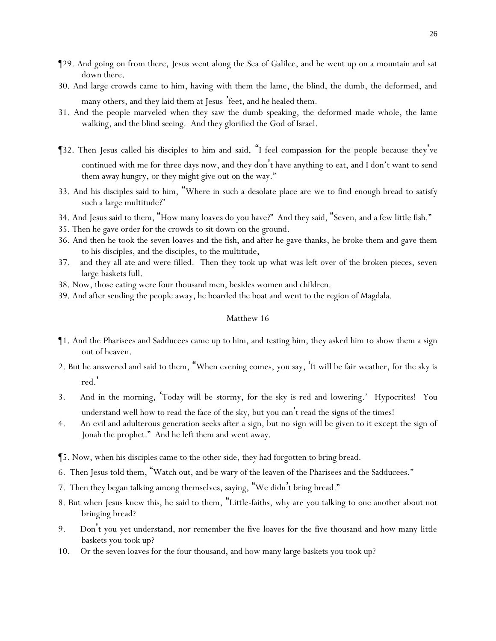- ¶29. And going on from there, Jesus went along the Sea of Galilee, and he went up on a mountain and sat down there.
- 30. And large crowds came to him, having with them the lame, the blind, the dumb, the deformed, and many others, and they laid them at Jesus 'feet, and he healed them.
- 31. And the people marveled when they saw the dumb speaking, the deformed made whole, the lame walking, and the blind seeing. And they glorified the God of Israel.
- ¶32. Then Jesus called his disciples to him and said, "I feel compassion for the people because they 've continued with me for three days now, and they don't have anything to eat, and I don't want to send them away hungry, or they might give out on the way."
- 33. And his disciples said to him, "Where in such a desolate place are we to find enough bread to satisfy such a large multitude?"
- 34. And Jesus said to them, "How many loaves do *y*ou have?" And they said, "Seven, and a few little fish."
- 35. Then he gave order for the crowds to sit down on the ground.
- 36. And then he took the seven loaves and the fish, and after he gave thanks, he broke them and gave them to his disciples, and the disciples, to the multitude,
- 37. and they all ate and were filled. Then they took up what was left over of the broken pieces, seven large baskets full.
- 38. Now, those eating were four thousand men, besides women and children.
- 39. And after sending the people away, he boarded the boat and went to the region of Magdala.

- ¶1. And the Pharisees and Sadducees came up to him, and testing him, they asked him to show them a sign out of heaven.
- 2. But he answered and said to them, "When evening comes, *y*ou say, '*It will be* fair weather, for the sky is red.'
- 3. And in the morning, 'Today *will be* stormy, for the sky is red and lowering.' Hypocrites! *Y*ou understand well how to read the face of the sky, but *y*ou can't *read* the signs of the times!
- 4. An evil and adulterous generation seeks after a sign, but no sign will be given to it except the sign of Jonah the prophet." And he left them and went away.
- ¶5. Now, when his disciples came to the other side, they had forgotten to bring bread.
- 6. Then Jesus told them, "Watch out, and be wary of the leaven of the Pharisees and the Sadducees."
- 7. Then they began talking among themselves, saying, "We didn't bring bread."
- 8. But when Jesus knew this, he said to them, "Little-faiths, why are *y*ou talking to one another about not bringing bread?
- 9. Don't *y*ou yet understand, nor remember the five loaves for the five thousand and how many little baskets *y*ou took up?
- 10. Or the seven loaves for the four thousand, and how many large baskets *y*ou took up?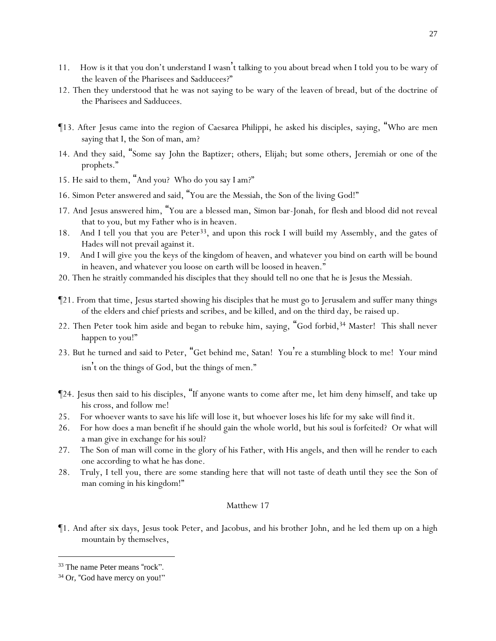- 11. How is it that *y*ou don't understand I wasn't talking to *y*ou about bread when I told *y*ou to be wary of the leaven of the Pharisees and Sadducees?"
- 12. Then they understood that he was not saying to be wary of the leaven of bread, but of the doctrine of the Pharisees and Sadducees.
- ¶13. After Jesus came into the region of Caesarea Philippi, he asked his disciples, saying, "Who are men saying that I, the Son of man, am?
- 14. And they said, "Some *say* John the Baptizer; others, Elijah; but some others, Jeremiah or one of the prophets."
- 15. He said to them, "And *y*ou? Who do *y*ou say I am?"
- 16. Simon Peter answered and said, "You are the Messiah, the Son of the living God!"
- 17. And Jesus answered him, "You are a blessed man, Simon bar-Jonah, for flesh and blood did not reveal *that* to you, but my Father who is in heaven.
- 18. And I tell you that you are Peter<sup>33</sup>, and upon this rock I will build my Assembly, and the gates of Hades will not prevail against it.
- 19. And I will give you the keys of the kingdom of heaven, and whatever you bind on earth will be bound in heaven, and whatever you loose on earth will be loosed in heaven."
- 20. Then he straitly commanded his disciples that they should tell no one that he is Jesus the Messiah.
- ¶21. From that time, Jesus started showing his disciples that he must go to Jerusalem and suffer many things of the elders and chief priests and scribes, and be killed, and on the third day, be raised up.
- 22. Then Peter took him aside and began to rebuke him, saying, "God forbid,<sup>34</sup> Master! This shall never happen to you!"
- 23. But he turned and said to Peter, "Get behind me, Satan! You're a stumbling block to me! Your mind isn't on the things of God, but the things of men."
- ¶24. Jesus then said to his disciples, "If anyone wants to come after me, let him deny himself, and take up his cross, and follow me!
- 25. For whoever wants to save his life will lose it, but whoever loses his life for my sake will find it.
- 26. For how does a man benefit if he should gain the whole world, but his soul is forfeited? Or what will a man give in exchange for his soul?
- 27. The Son of man will come in the glory of his Father, with His angels, and then will he render to each one according to what he has done.
- 28. Truly, I tell *y*ou, there are some standing here that will not taste of death until they see the Son of man coming in his kingdom!"

¶1. And after six days, Jesus took Peter, and Jacobus, and his brother John, and he led them up on a high mountain by themselves,

<sup>33</sup> The name Peter means "rock".

<sup>&</sup>lt;sup>34</sup> Or, "God have mercy on you!"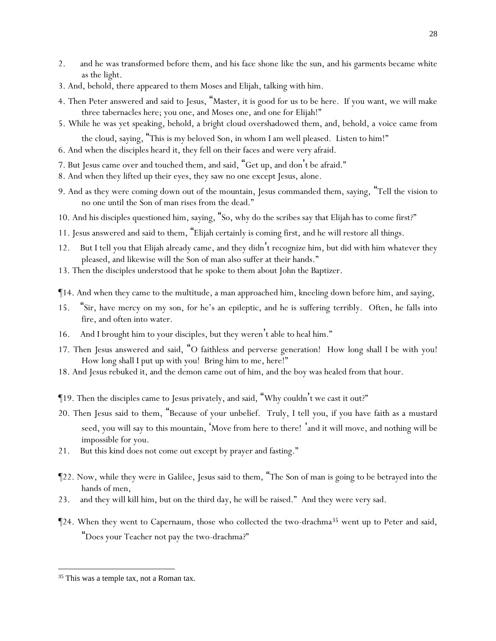- 2. and he was transformed before them, and his face shone like the sun, and his garments became white as the light.
- 3. And, behold, there appeared to them Moses and Elijah, talking with him.
- 4. Then Peter answered and said to Jesus, "Master, it is good for us to be here. If you want, we will make three tabernacles here; you one, and Moses one, and one for Elijah!"
- 5. While he was yet speaking, behold, a bright cloud overshadowed them, and, behold, a voice *came* from the cloud, saying, "This is my beloved Son, in whom I am well pleased. Listen to him!"
- 6. And when the disciples heard it, they fell on their faces and were very afraid.
- 7. But Jesus came over and touched them, and said, "Get up, and don't be afraid."
- 8. And when they lifted up their eyes, they saw no one except Jesus, alone.
- 9. And as they were coming down out of the mountain, Jesus commanded them, saying, "Tell the vision to no one until the Son of man rises from the dead."
- 10. And his disciples questioned him, saying, "So, why do the scribes say that Elijah has to come first?"
- 11. Jesus answered and said to them, "Elijah certainly is coming first, and he will restore all things.
- 12. But I tell *y*ou that Elijah already came, and they didn't recognize him, but did with him whatever they pleased, and likewise will the Son of man also suffer at their hands."
- 13. Then the disciples understood that he spoke to them about John the Baptizer.
- ¶14. And when they came to the multitude, a man approached him, kneeling down before him, and saying,
- 15. "Sir, have mercy on my son, for he's an epileptic, and he is suffering terribly. Often, he falls into fire, and often into water.
- 16. And I brought him to your disciples, but they weren't able to heal him."
- 17. Then Jesus answered and said, "O faithless and perverse generation! How long shall I be with *y*ou! How long shall I put up with *y*ou! Bring him to me, here!"
- 18. And Jesus rebuked it, and the demon came out of him, and the boy was healed from that hour.
- ¶19. Then the disciples came to Jesus privately, and said, "Why couldn't we cast it out?"
- 20. Then Jesus said to them, "Because of *y*our unbelief. Truly, I tell *y*ou, if *y*ou have faith as a mustard seed, *y*ou will say to this mountain, 'Move from here to there! 'and it will move, and nothing will be impossible for *y*ou.
- 21. But this kind does not come out except by prayer and fasting."
- ¶22. Now, while they were in Galilee, Jesus said to them, "The Son of man is going to be betrayed into the hands of men,
- 23. and they will kill him, but on the third day, he will be raised." And they were very sad.
- $\P$ 24. When they went to Capernaum, those who collected the two-drachma<sup>35</sup> went up to Peter and said, "Does *y*our Teacher not pay the two-drachma?"

<sup>&</sup>lt;sup>35</sup> This was a temple tax, not a Roman tax.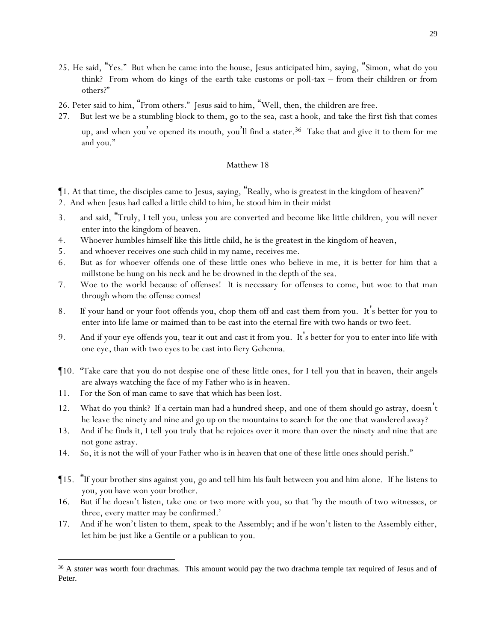- 25. He said, "Yes." But when he came into the house, Jesus anticipated him, saying, "Simon, what do you think? From whom do kings of the earth take customs or poll-tax – from their children or from others?"
- 26. Peter said to him, "From others." Jesus said to him, "Well, then, the children are free.
- 27. But lest we be a stumbling block to them, go to the sea, cast a hook, and take the first fish that comes

up, and when you've opened its mouth, you'll find a stater.<sup>36</sup> Take that and give it to them for me and you."

- ¶1. At that time, the disciples came to Jesus, saying, "Really, who is greatest in the kingdom of heaven?"
- 2. And when Jesus had called a little child to him, he stood him in their midst
- 3. and said, "Truly, I tell *y*ou, unless *y*ou are converted and become like little children, *y*ou will never enter into the kingdom of heaven.
- 4. Whoever humbles himself like this little child, he is the greatest in the kingdom of heaven,
- 5. and whoever receives one such child in my name, receives me.
- 6. But as for whoever offends one of these little ones who believe in me, it is better for him that a millstone be hung on his neck and he be drowned in the depth of the sea.
- 7. Woe to the world because of offenses! It is necessary for offenses to come, but woe to that man through whom the offense comes!
- 8. If your hand or your foot offends you, chop them off and cast them from you. It 's better for you to enter into life lame or maimed than to be cast into the eternal fire with two hands or two feet.
- 9. And if your eye offends you, tear it out and cast it from you. It's better for you to enter into life with one eye, than with two eyes to be cast into fiery Gehenna.
- ¶10. "Take care that *y*ou do not despise one of these little ones, for I tell *y*ou that in heaven, their angels are always watching the face of my Father who is in heaven.
- 11. For the Son of man came to save that which has been lost.
- 12. What do *y*ou think? If a certain man had a hundred sheep, and one of them should go astray, doesn't he leave the ninety and nine and go up on the mountains to search for the one that wandered away?
- 13. And if he finds it, I tell *y*ou truly that he rejoices over it more than over the ninety and nine that are not gone astray.
- 14. So, it is not the will of *y*our Father who is in heaven that one of these little ones should perish."
- ¶15. "If your brother sins against you, go and tell him *his fault* between you and him alone. If he listens to you, you have won your brother.
- 16. But if he doesn't listen, take one or two more with you, so that 'by the mouth of two witnesses, or three, every matter may be confirmed.'
- 17. And if he won't listen to them, speak to the Assembly; and if he won't listen to the Assembly either, let him be just like a Gentile or a publican to you.

<sup>&</sup>lt;sup>36</sup> A *stater* was worth four drachmas. This amount would pay the two drachma temple tax required of Jesus and of Peter.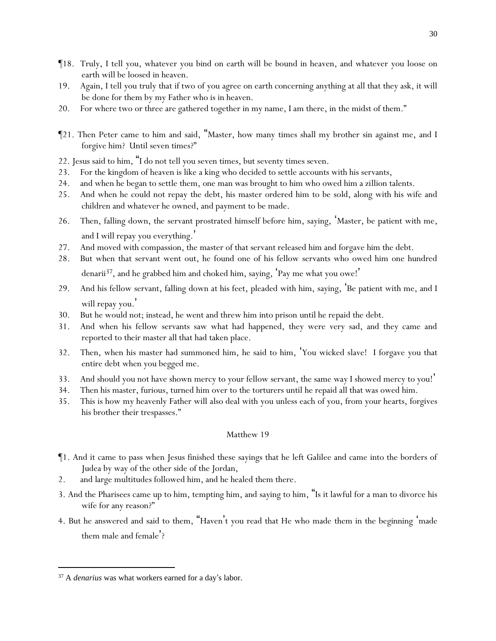- ¶18. Truly, I tell *y*ou, whatever *y*ou bind on earth will be bound in heaven, and whatever *y*ou loose on earth will be loosed in heaven.
- 19. Again, I tell *y*ou truly that if two of *y*ou agree on earth concerning anything at all that they ask, it will be done for them by my Father who is in heaven.
- 20. For where two or three are gathered together in my name, I am there, in the midst of them."
- ¶21. Then Peter came to him and said, "Master, how many times shall my brother sin against me, and I forgive him? Until seven times?"
- 22. Jesus said to him, "I do not tell you seven times, but seventy times seven.
- 23. For the kingdom of heaven is like a king who decided to settle accounts with his servants,
- 24. and when he began to settle them, one man was brought to him who owed him a zillion talents.
- 25. And when he could not repay *the debt*, his master ordered him to be sold, along with his wife and children and whatever he owned, and payment to be made.
- 26. Then, falling down, the servant prostrated himself before him, saying, 'Master, be patient with me, and I will repay you everything.'
- 27. And moved with compassion, the master of that servant released him and forgave him the debt.
- 28. But when that servant went out, he found one of his fellow servants who owed him one hundred denarii<sup>37</sup>, and he grabbed him and choked him, saying, 'Pay me what you owe!'
- 29. And his fellow servant, falling down at his feet, pleaded with him, saying, 'Be patient with me, and I will repay you.
- 30. But he would not; instead, he went and threw him into prison until he repaid the debt.
- 31. And when his fellow servants saw what had happened, they were very sad, and they came and reported to their master all that had taken place.
- 32. Then, when his master had summoned him, he said to him, 'You wicked slave! I forgave you that entire debt when you begged me.
- 33. And should you not have shown mercy to your fellow servant, the same way I showed mercy to you! '
- 34. Then his master, furious, turned him over to the torturers until he repaid all that was owed him.
- 35. This is how my heavenly Father will also deal with *y*ou unless each *of you*, from *y*our hearts, forgives his brother their trespasses."

- ¶1. And it came to pass when Jesus finished these sayings that he left Galilee and came into the borders of Judea *by way of* the other side of the Jordan,
- 2. and large multitudes followed him, and he healed them there.
- 3. And the Pharisees came up to him, tempting him, and saying to him, "Is it lawful for a man to divorce his wife for any reason?"
- 4. But he answered and said to them, "Haven't *y*ou read that He who made them in the beginning 'made them male and female'?

<sup>37</sup> A *denarius* was what workers earned for a day's labor.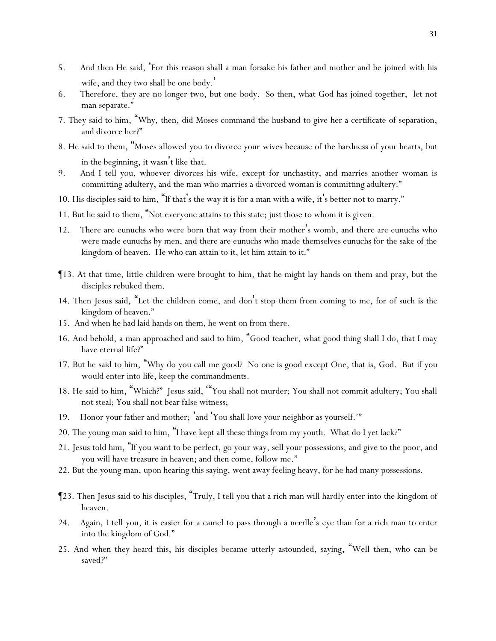- 5. And then He said, 'For this reason shall a man forsake *his* father and mother and be joined with his wife, and they two shall be one body. '
- 6. Therefore, they are no longer two, but one body. So then, what God has joined together, let not man separate."
- 7. They said to him, "Why, then, did Moses command *the husband* to give *her* a certificate of separation, and divorce her?"
- 8. He said to them, "Moses allowed *y*ou to divorce *y*our wives because of the hardness of *y*our hearts, but in the beginning, it wasn't like that.
- 9. And I tell *y*ou, whoever divorces his wife, except for unchastity, and marries another woman is committing adultery, and the man who marries a divorced woman is committing adultery."
- 10. His disciples said to him, "If that's the way it is for a man with a wife, it's better not to marry."
- 11. But he said to them, "Not everyone attains to this state; just those to whom it is given.
- 12. There are eunuchs who were born that way from *their* mother's womb, and there are eunuchs who were made eunuchs by men, and there are eunuchs who made themselves eunuchs for the sake of the kingdom of heaven. He who can attain to *it*, let him attain to *it*."
- ¶13. At that time, little children were brought to him, that he might lay hands on them and pray, but the disciples rebuked them.
- 14. Then Jesus said, "Let the children *come*, and don 't stop them from coming to me, for of such is the kingdom of heaven."
- 15. And when he had laid hands on them, he went on from there.
- 16. And behold, a man approached and said to him, "Good teacher, what good thing shall I do, that I may have eternal life?"
- 17. But he said to him, "Why do you call me good? No one is good except One, *that is*, God. But if you would enter into life, keep the commandments.
- 18. He said to him, "Which?" Jesus said, '"You shall not murder; You shall not commit adultery; You shall not steal; You shall not bear false witness;
- 19. Honor *your* father and mother; 'and 'You shall love your neighbor as yourself.'"
- 20. The young man said to him, "I have kept all these things from my youth. What do I yet lack?"
- 21. Jesus told him, "If you want to be perfect, go your way, sell your possessions, and give to the poor, and you will have treasure in heaven; and then come, follow me."
- 22. But the young man, upon hearing this saying, went away feeling heavy, for he had many possessions.
- ¶23. Then Jesus said to his disciples, "Truly, I tell *y*ou that a rich man will hardly enter into the kingdom of heaven.
- 24. Again, I tell *y*ou, it is easier for a camel to pass through a needle's eye than for a rich man to enter into the kingdom of God."
- 25. And when they heard *this*, his disciples became utterly astounded, saying, "Well then, who can be saved?"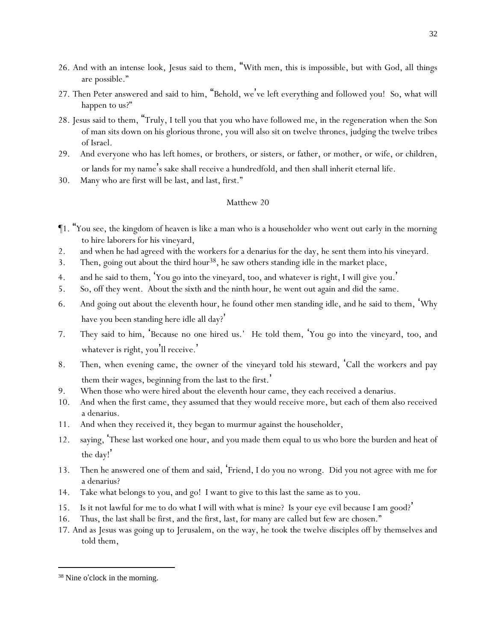- 26. And with an intense look, Jesus said to them, "With men, this is impossible, but with God, all things are possible."
- 27. Then Peter answered and said to him, "Behold, we've left everything and followed you! So, what will happen to us?"
- 28. Jesus said to them, "Truly, I tell *y*ou that *y*ou who have followed me, in the regeneration when the Son of man sits down on his glorious throne, *y*ou will also sit on twelve thrones, judging the twelve tribes of Israel.
- 29. And everyone who has left homes, or brothers, or sisters, or father, or mother, or wife, or children, or lands for my name's sake shall receive a hundredfold, and then shall inherit eternal life.
- 30. Many who are first will be last, and last, first."

- ¶1. "You see, the kingdom of heaven is like a man who is a householder who went out early in the morning to hire laborers for his vineyard,
- 2. and when he had agreed with the workers for a denarius for the day, he sent them into his vineyard.
- 3. Then, going out about the third hour<sup>38</sup>, he saw others standing idle in the market place,
- 4. and he said to them, '*Y*ou go into the vineyard, too, and whatever is right, I will give *y*ou. '
- 5. So, off they went. About the sixth and the ninth hour, he went out again and did the same.
- 6. And going out about the eleventh hour, he found other men standing idle, and he said to them, 'Why have *y*ou been standing here idle all day?'
- 7. They said to him, 'Because no one hired us.' He told them, '*Y*ou go into the vineyard, too, and whatever is right, you'll receive.'
- 8. Then, when evening came, the owner of the vineyard told his steward, 'Call the workers and pay them their wages, beginning from the last to the first.'
- 9. When those who *were hired* about the eleventh hour came, they each received a denarius.
- 10. And when the first came, they assumed that they would receive more, but each of them also received a denarius.
- 11. And when they received it, they began to murmur against the householder,
- 12. saying, 'These last worked one hour, and you made them equal to us who bore the burden and heat of the day! '
- 13. Then he answered one of them and said, 'Friend, I do you no wrong. Did you not agree with me for a denarius?
- 14. Take what belongs to you, and go! I want to give to this last the same as to you.
- 15. Is it not lawful for me to do what I will with what is mine? Is your eye evil because I am good? '
- 16. Thus, the last shall be first, and the first, last, for many are called but few are chosen."
- 17. And as Jesus was going up to Jerusalem, on the way, he took the twelve disciples off by themselves and told them,

<sup>38</sup> Nine o'clock in the morning.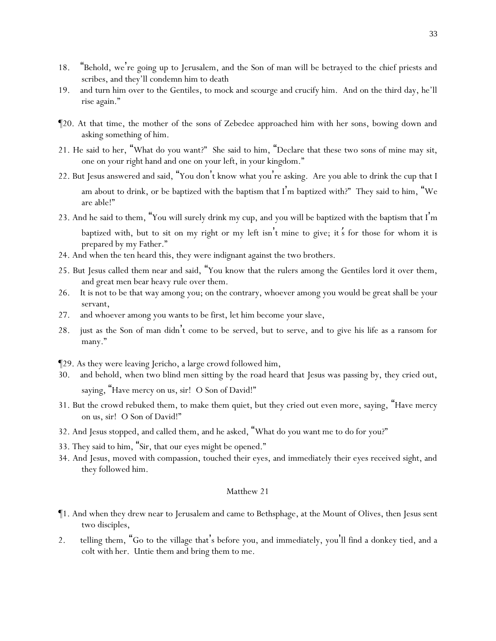- 18. "Behold, we're going up to Jerusalem, and the Son of man will be betrayed to the chief priests and scribes, and they'll condemn him to death
- 19. and turn him over to the Gentiles, to mock and scourge and crucify him. And on the third day, he'll rise again."
- ¶20. At that time, the mother of the sons of Zebedee approached him with her sons, bowing down and asking something of him.
- 21. He said to her, "What do you want?" She said to him, "Declare that these two sons of mine may sit, one on your right hand and one on your left, in your kingdom."
- 22. But Jesus answered and said, "*Y*ou don't know what *y*ou're asking. Are *y*ou able to drink the cup that I am about to drink, or be baptized with the baptism that I'm baptized with?" They said to him, "We are able!"
- 23. And he said to them, "*Y*ou will surely drink my cup, and *y*ou will be baptized with the baptism that I'm baptized with, but to sit on my right or my left isn't mine to give; *it*'*s* for those for whom it is prepared by my Father."
- 24. And when the ten heard *this*, they were indignant against the two brothers.
- 25. But Jesus called them near and said, "*Y*ou know that the rulers among the Gentiles lord it over them, and great men bear heavy rule over them.
- 26. It is not to be that way among *y*ou; on the contrary, whoever among *y*ou would be great shall be *y*our servant,
- 27. and whoever among *y*ou wants to be first, let him become *y*our slave,
- 28. just as the Son of man didn't come to be served, but to serve, and to give his life as a ransom for many."
- ¶29. As they were leaving Jericho, a large crowd followed him,
- 30. and behold, when two blind men sitting by the road heard that Jesus was passing by, they cried out, saying, "Have mercy on us, sir! O Son of David!"
- 31. But the crowd rebuked them, to make them quiet, but they cried out even more, saying, "Have mercy on us, sir! O Son of David!"
- 32. And Jesus stopped, and called them, and he asked, "What do *y*ou want me to do for *y*ou?"
- 33. They said to him, "Sir, that our eyes might be opened."
- 34. And Jesus, moved with compassion, touched their eyes, and immediately their eyes received sight, and they followed him.

- ¶1. And when they drew near to Jerusalem and came to Bethsphage, at the Mount of Olives, then Jesus sent two disciples,
- 2. telling them, "Go to the village that's before *y*ou, and immediately, *y*ou'll find a donkey tied, and a colt with her. Untie *them* and bring *them* to me.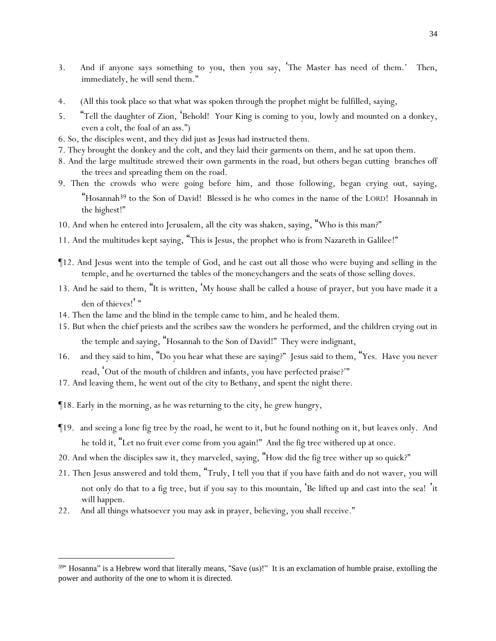- 3. And if anyone says something to *y*ou, then *y*ou say, 'The Master has need of them.' Then, immediately, he will send them."
- 4. (All this took place so that what was spoken through the prophet might be fulfilled, saying,
- 5. "Tell the daughter of Zion, 'Behold! Your King is coming to you, lowly and mounted on a donkey, even a colt, the foal of an ass.")
- 6. So, the disciples went, and they did just as Jesus had instructed them.
- 7. They brought the donkey and the colt, and they laid their garments on them, and he sat upon them.
- 8. And the large multitude strewed their own garments in the road, but others began cutting branches off the trees and spreading them on the road.
- 9. Then the crowds who were going before him, and those following, began crying out, saying, "Hosannah<sup>39</sup> to the Son of David! Blessed is he who comes in the name of the LORD! Hosannah in the highest!"
- 10. And when he entered into Jerusalem, all the city was shaken, saying, "Who is this man?"
- 11. And the multitudes kept saying, "This is Jesus, the prophet who is from Nazareth in Galilee!"
- ¶12. And Jesus went into the temple of God, and he cast out all those who were buying and selling in the temple, and he overturned the tables of the moneychangers and the seats of those selling doves.
- 13. And he said to them, "It is written, 'My house shall be called a house of prayer, but *y*ou have made it a den of thieves!"
- 14. Then the lame and the blind in the temple came to him, and he healed them.
- 15. But when the chief priests and the scribes saw the wonders he performed, and the children crying out in the temple and saying, "Hosannah to the Son of David!" They were indignant,
- 16. and they said to him, "Do you hear what these are saying?" Jesus said to them, "Yes. Have *y*ou never read, 'Out of the mouth of children and infants, you have perfected praise?'"
- 17. And leaving them, he went out of the city to Bethany, and spent the night there.
- ¶18. Early in the morning, as he was returning to the city, he grew hungry,
- ¶19. and seeing a lone fig tree by the road, he went to it, but he found nothing on it, but leaves only. And he told it, "Let no fruit ever come from you again!" And the fig tree withered up at once.
- 20. And when the disciples saw it, they marveled, saying, "How did the fig tree wither up so quick?"
- 21. Then Jesus answered and told them, "Truly, I tell *y*ou that if *y*ou have faith and do not waver, *y*ou will not only do that to a fig tree, but if *y*ou say to this mountain, 'Be lifted up and cast into the sea! 'it will happen.
- 22. And all things whatsoever *y*ou may ask in prayer, believing, *y*ou shall receive."

<sup>&</sup>lt;sup>39"</sup> Hosanna" is a Hebrew word that literally means, "Save (us)!" It is an exclamation of humble praise, extolling the power and authority of the one to whom it is directed.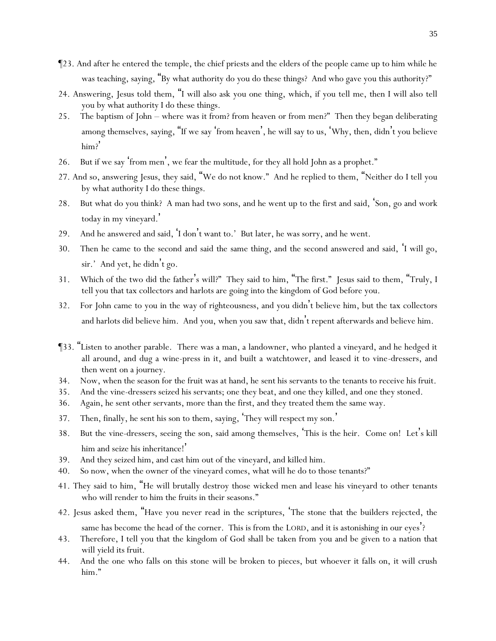- ¶23. And after he entered the temple, the chief priests and the elders of the people came up to him while he was teaching, saying, "By what authority do you do these things? And who gave you this authority?"
- 24. Answering, Jesus told them, "I will also ask *y*ou one thing, which, if *y*ou tell me, then I will also tell *y*ou by what authority I do these things.
- 25. The baptism of John where was it from? from heaven or from men?" Then they began deliberating among themselves, saying, "If we say 'from heaven', he will say to us, 'Why, then, didn't *y*ou believe him?'
- 26. But if we say 'from men', we fear the multitude, for they all hold John as a prophet."
- 27. And so, answering Jesus, they said, "We do not know." And he replied to them, "Neither do I tell *y*ou by what authority I do these things.
- 28. But what do *y*ou think? A man had two sons, and he went up to the first and said, 'Son, go and work today in my vineyard. '
- 29. And he answered and said, 'I don't want to.' But later, he was sorry, and he went.
- 30. Then he came to the second and said the same thing, and the second answered and said, 'I *will go*, sir.' And yet, he didn't go.
- 31. Which of the two did the father's will?" They said to him, "The first." Jesus said to them, "Truly, I tell *y*ou that tax collectors and harlots are going into the kingdom of God before *y*ou.
- 32. For John came to *y*ou in the way of righteousness, and *y*ou didn't believe him, but the tax collectors and harlots did believe him. And *y*ou, when *y*ou saw *that*, didn't repent afterwards and believe him.
- ¶33. "Listen to another parable. There was a man, a landowner, who planted a vineyard, and he hedged it all around, and dug a wine-press in it, and built a watchtower, and leased it to vine-dressers, and then went on a journey.
- 34. Now, when the season for the fruit was at hand, he sent his servants to the tenants to receive his fruit.
- 35. And the vine-dressers seized his servants; one they beat, and one they killed, and one they stoned.
- 36. Again, he sent other servants, more than the first, and they treated them the same way.
- 37. Then, finally, he sent his son to them, saying, 'They will respect my son.'
- 38. But the vine-dressers, seeing the son, said among themselves, 'This is the heir. Come on! Let's kill him and seize his inheritance!'
- 39. And they seized him, and cast him out of the vineyard, and killed him.
- 40. So now, when the owner of the vineyard comes, what will he do to those tenants?"
- 41. They said to him, "He will brutally destroy those wicked men and lease his vineyard to other tenants who will render to him the fruits in their seasons."
- 42. Jesus asked them, "Have *y*ou never read in the scriptures, 'The stone that the builders rejected, the same has become the head of the corner. This is from the LORD, and it is astonishing in our eyes'?
- 43. Therefore, I tell *y*ou that the kingdom of God shall be taken from *y*ou and be given to a nation *that will* yield its fruit.
- 44. And the one who falls on this stone will be broken to pieces, but whoever it falls on, it will crush him."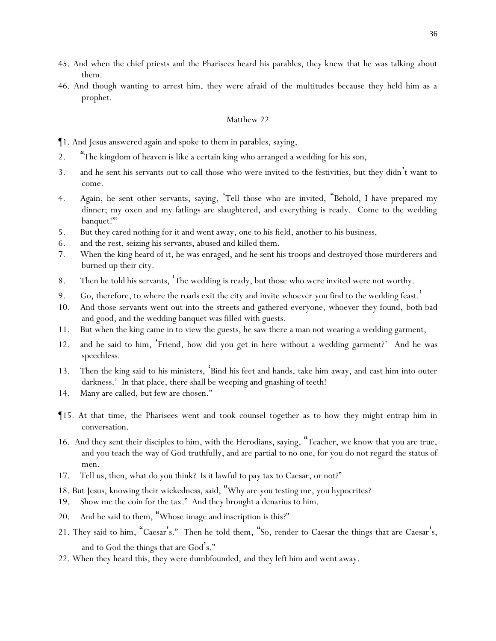- 45. And when the chief priests and the Pharisees heard his parables, they knew that he was talking about them.
- 46. And though wanting to arrest him, they were afraid of the multitudes because they held him as a prophet.

¶1. And Jesus answered again and spoke to them in parables, saying,

- 2. "The kingdom of heaven is like a certain king who arranged a wedding for his son,
- 3. and he sent his servants out to call those who were invited to the festivities, but they didn't want to come.
- 4. Again, he sent other servants, saying, 'Tell those who are invited, "Behold, I have prepared my dinner; my oxen and my fatlings are slaughtered, and everything is ready. Come to the wedding banquet!"'
- 5. But they cared nothing for it and went away, one to his field, another to his business,
- 6. and the rest, seizing his servants, abused and killed them.
- 7. When the king heard of it, he was enraged, and he sent his troops and destroyed those murderers and burned up their city.
- 8. Then he told his servants, 'The wedding is ready, but those who were invited were not worthy.
- 9. Go, therefore, to where the roads exit the city and invite whoever *y*ou find to the wedding feast.'
- 10. And those servants went out into the streets and gathered everyone, whoever they found, both bad and good, and the wedding banquet was filled with guests.
- 11. But when the king came in to view the guests, he saw there a man not wearing a wedding garment,
- 12. and he said to him, 'Friend, how did you get in here without a wedding garment?' And he was speechless.
- 13. Then the king said to his ministers, 'Bind his feet and hands, take him away, and cast him into outer darkness.' In that place, there shall be weeping and gnashing of teeth!
- 14. Many are called, but few are chosen."
- ¶15. At that time, the Pharisees went and took counsel together as to how they might entrap him in conversation.
- 16. And they sent their disciples to him, with the Herodians, saying, "Teacher, we know that you are true, and you teach the way of God truthfully, and are partial to no one, for you do not regard the status of men.
- 17. Tell us, then, what do you think? Is it lawful to pay tax to Caesar, or not?"
- 18. But Jesus, knowing their wickedness, said, "Why are *y*ou testing me, *you* hypocrites?
- 19. Show me the coin for the tax." And they brought a denarius to him.
- 20. And he said to them, "Whose image and inscription is this?"
- 21. They said to him, "Caesar's." Then he told them, "So, render to Caesar the things that are Caesar's, and to God the things that are God's."
- 22. When they heard *this*, they were dumbfounded, and they left him and went away.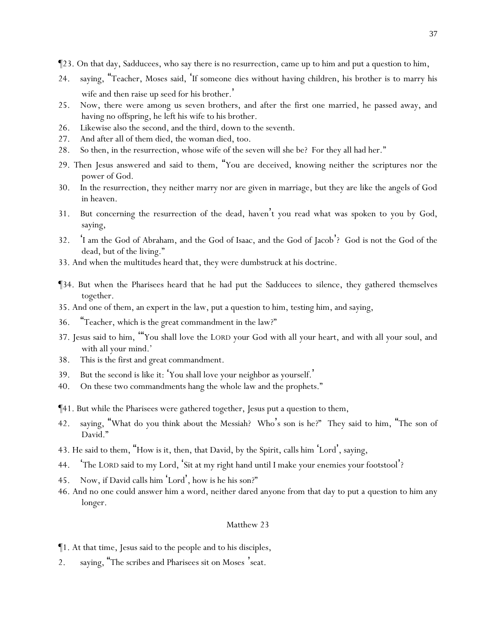- ¶23. On that day, Sadducees, who say there is no resurrection, came up to him and put a question to him,
- 24. saying, "Teacher, Moses said, 'If someone dies without having children, his brother is to marry his wife and then raise up seed for his brother. '
- 25. Now, there were among us seven brothers, and after the first one married, he passed away, and having no offspring, he left his wife to his brother.
- 26. Likewise also the second, and the third, down to the seventh.
- 27. And after all of them died, the woman died, too.
- 28. So then, in the resurrection, whose wife of the seven will she be? For they all had her."
- 29. Then Jesus answered and said to them, "*Y*ou are deceived, knowing neither the scriptures nor the power of God.
- 30. In the resurrection, they neither marry nor are given in marriage, but they are like the angels of God in heaven.
- 31. But concerning the resurrection of the dead, haven't *y*ou read what was spoken to *y*ou by God, saying,
- 32. 'I am the God of Abraham, and the God of Isaac, and the God of Jacob'? God is not the God of the dead, but of the living."
- 33. And when the multitudes heard that, they were dumbstruck at his doctrine.
- ¶34. But when the Pharisees heard that he had put the Sadducees to silence, they gathered themselves together.
- 35. And one of them, an expert in the law, put a question to him, testing him, and saying,
- 36. "Teacher, which is the great commandment in the law?"
- 37. Jesus said to him, '"You shall love the LORD your God with all your heart, and with all your soul, and with all your mind.'
- 38. This is the first and great commandment.
- 39. But the second is like it: 'You shall love your neighbor as yourself.'
- 40. On these two commandments hang the whole law and the prophets."
- ¶41. But while the Pharisees were gathered together, Jesus put a question to them,
- 42. saying, "What do *y*ou think about the Messiah? Who's son is he?" They said to him, "The son of David."
- 43. He said to them, "How is it, then, that David, by the Spirit, calls him 'Lord', saying,
- 44. 'The LORD said to my Lord, 'Sit at my right hand until I make your enemies your footstool'?
- Now, if David calls him 'Lord', how is he his son?"
- 46. And no one could answer him a word, neither dared anyone from that day to put a question to him any longer.

- ¶1. At that time, Jesus said to the people and to his disciples,
- 2. saying, "The scribes and Pharisees sit on Moses 'seat.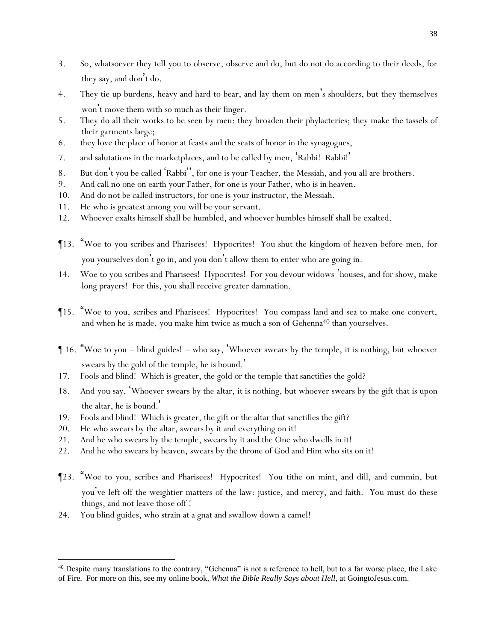- 3. So, whatsoever they tell *y*ou to observe, observe and do, but do not do according to their deeds, for they say, and don't do.
- 4. They tie up burdens, heavy and hard to bear, and lay them on men's shoulders, but they *themselves* won't move them with *so much as* their finger.
- 5. They do all their works to be seen by men: they broaden their phylacteries; they make the tassels of their garments large;
- 6. they love the place of honor at feasts and the seats of honor in the synagogues,
- 7. and salutations in the marketplaces, and to be called by men, 'Rabbi! Rabbi! '
- 8. But don't you be called 'Rabbi'', for one is *y*our Teacher, the Messiah, and *y*ou all are brothers.
- 9. And call no one on earth *y*our Father, for one is *y*our Father, who is in heaven.
- 10. And do not be called instructors, for one is *y*our instructor, the Messiah.
- 11. He who is greatest among *y*ou will be *y*our servant.
- 12. Whoever exalts himself shall be humbled, and whoever humbles himself shall be exalted.
- ¶13. "Woe to *y*ou scribes and Pharisees! Hypocrites! *Y*ou shut the kingdom of heaven before men, for *y*ou *y*ourselves don't go in, and *y*ou don't allow them to enter who are going in.
- 14. Woe to *y*ou scribes and Pharisees! Hypocrites! For *y*ou devour widows 'houses, and for show, make long prayers! For this, *y*ou shall receive greater damnation.
- ¶15. "Woe to *y*ou, scribes and Pharisees! Hypocrites! *Y*ou compass land and sea to make one convert, and when he is made, you make him twice as much a son of Gehenna<sup>40</sup> than yourselves.
- ¶ 16. "Woe to *y*ou blind guides! who say, 'Whoever swears by the temple, it is nothing, but whoever swears by the gold of the temple, he is bound. '
- 17. Fools and blind! Which is greater, the gold or the temple that sanctifies the gold?
- 18. And *you say*, 'Whoever swears by the altar, it is nothing, but whoever swears by the gift that is upon *the altar*, he is bound. '
- 19. Fools and blind! Which is greater, the gift or the altar that sanctifies the gift?
- 20. He who swears by the altar, swears by it and everything on it!
- 21. And he who swears by the temple, swears by it and the One who dwells in it!
- 22. And he who swears by heaven, swears by the throne of God and Him who sits on it!
- ¶23. "Woe to *y*ou, scribes and Pharisees! Hypocrites! *Y*ou tithe on mint, and dill, and cummin, but *y*ou've left off the weightier matters of the law: justice, and mercy, and faith. *You* must do these things, and not leave those off !
- 24. *You* blind guides, who strain at a gnat and swallow down a camel!

<sup>&</sup>lt;sup>40</sup> Despite many translations to the contrary, "Gehenna" is not a reference to hell, but to a far worse place, the Lake of Fire. For more on this, see my online book, *What the Bible Really Says about Hell*, at GoingtoJesus.com.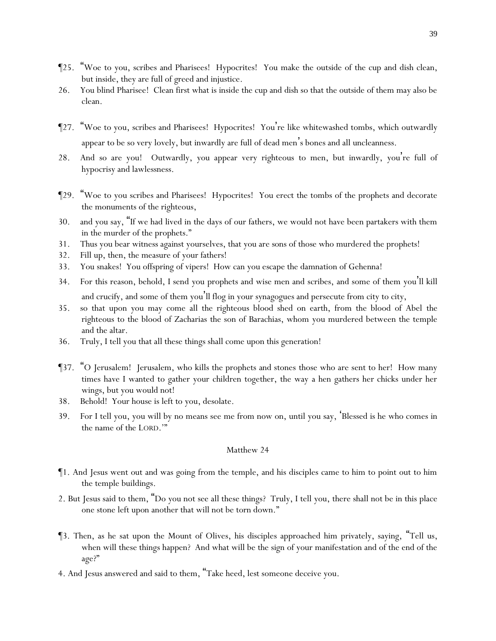- ¶25. "Woe to *y*ou, scribes and Pharisees! Hypocrites! *Y*ou make the outside of the cup and dish clean, but inside, they are full of greed and injustice.
- 26. You blind Pharisee! Clean first what is inside the cup and dish so that the outside of them may also be clean.
- ¶27. "Woe to *y*ou, scribes and Pharisees! Hypocrites! *Y*ou 're like whitewashed tombs, which outwardly appear to be so very lovely, but inwardly are full of dead men's bones and all uncleanness.
- 28. And so are *y*ou! Outwardly, *y*ou appear very righteous to men, but inwardly, *y*ou're full of hypocrisy and lawlessness.
- ¶29. "Woe to *y*ou scribes and Pharisees! Hypocrites! *Y*ou erect the tombs of the prophets and decorate the monuments of the righteous,
- 30. and *y*ou say, "If we had lived in the days of our fathers, we would not have been partakers with them in the murder of the prophets."
- 31. Thus *y*ou bear witness against *y*ourselves, that *y*ou are sons of those who murdered the prophets!
- 32. Fill up, then, the measure of *y*our fathers!
- 33. *Y*ou snakes! *Y*ou offspring of vipers! How can *y*ou escape the damnation of Gehenna!
- 34. For this reason, behold, I send *y*ou prophets and wise men and scribes, and some of them *y*ou'll kill and crucify, and some of them *y*ou'll flog in *y*our synagogues and persecute from city to city,
- 35. so that upon *y*ou may come all the righteous blood shed on earth, from the blood of Abel the righteous to the blood of Zacharias the son of Barachias, whom *y*ou murdered between the temple and the altar.
- 36. Truly, I tell *y*ou that all these things shall come upon this generation!
- ¶37. "O Jerusalem! Jerusalem, who kills the prophets and stones those who are sent to her! How many times have I wanted to gather your children together, the way a hen gathers her chicks under her wings, but *y*ou would not!
- 38. Behold! *Y*our house is left to *y*ou, desolate.
- 39. For I tell *y*ou, *y*ou will by no means see me from now on, until *y*ou say, 'Blessed is he who comes in the name of the LORD.'"

- ¶1. And Jesus went out and was going from the temple, and his disciples came to him to point out to him the temple buildings.
- 2. But Jesus said to them, "Do *y*ou not see all these things? Truly, I tell *y*ou, there shall not be in this place one stone left upon another that will not be torn down."
- ¶3. Then, as he sat upon the Mount of Olives, his disciples approached him privately, saying, "Tell us, when will these things happen? And what will be the sign of your manifestation and of the end of the age?"
- 4. And Jesus answered and said to them, "Take heed, lest someone deceive *y*ou.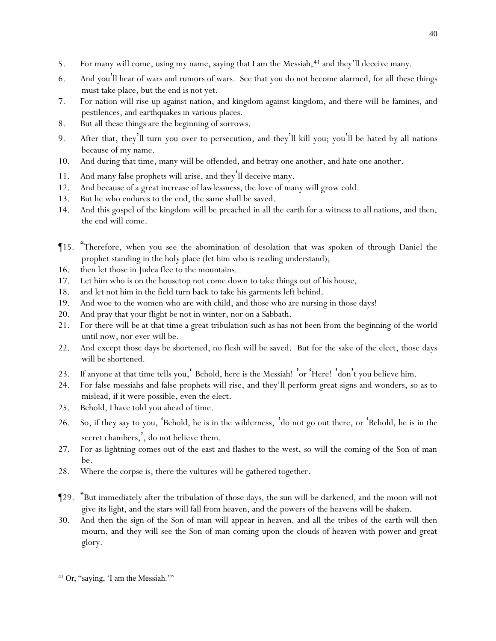- 5. For many will come, using my name, saying that I am the Messiah,<sup>41</sup> and they'll deceive many.
- 6. And *y*ou'll hear of wars and rumors of wars. See that *y*ou do not become alarmed, for all *these* things must take place, but the end is not yet.
- 7. For nation will rise up against nation, and kingdom against kingdom, and there will be famines, and pestilences, and earthquakes in various places.
- 8. But all these things are the beginning of sorrows.
- 9. After that, they'll turn *y*ou over to persecution, and they'll kill *y*ou; *y*ou'll be hated by all nations because of my name.
- 10. And during that time, many will be offended, and betray one another, and hate one another.
- 11. And many false prophets will arise, and they'll deceive many.
- 12. And because of a great increase of lawlessness, the love of many will grow cold.
- 13. But he who endures to the end, the same shall be saved.
- 14. And this gospel of the kingdom will be preached in all the earth for a witness to all nations, and then, the end will come.
- ¶15. "Therefore, when *y*ou see the abomination of desolation that was spoken of through Daniel the prophet standing in the holy place (let him who is reading understand),
- 16. then let those in Judea flee to the mountains.
- 17. Let him who is on the housetop not come down to take things out of his house,
- 18. and let not him in the field turn back to take his garments *left* behind.
- 19. And woe to the women who are with child, and those who are nursing in those days!
- 20. And pray that *y*our flight be not in winter, nor on a Sabbath.
- 21. For there will be at that time a great tribulation such as has not been from the beginning of the world until now, nor ever will be.
- 22. And except those days be shortened, no flesh will be saved. But for the sake of the elect, those days will be shortened.
- 23. If anyone at that time tells *y*ou,' Behold, here is the Messiah! 'or 'Here! 'don't *y*ou believe *him*.
- 24. For false messiahs and false prophets will rise, and they'll perform great signs and wonders, so as to mislead, if *it were* possible, even the elect.
- 25. Behold, I have told *y*ou ahead of time.
- 26. So, if they say to *y*ou, 'Behold, he is in the wilderness, 'do not go out there, or 'Behold, *he is* in the secret chambers,', do not believe *them*.
- 27. For as lightning comes out of the east and flashes to the west, so will the coming of the Son of man be.
- 28. Where the corpse is, there the vultures will be gathered together.
- ¶29. "But immediately after the tribulation of those days, the sun will be darkened, and the moon will not give its light, and the stars will fall from heaven, and the powers of the heavens will be shaken.
- 30. And then the sign of the Son of man will appear in heaven, and all the tribes of the earth will then mourn, and they will see the Son of man coming upon the clouds of heaven with power and great glory.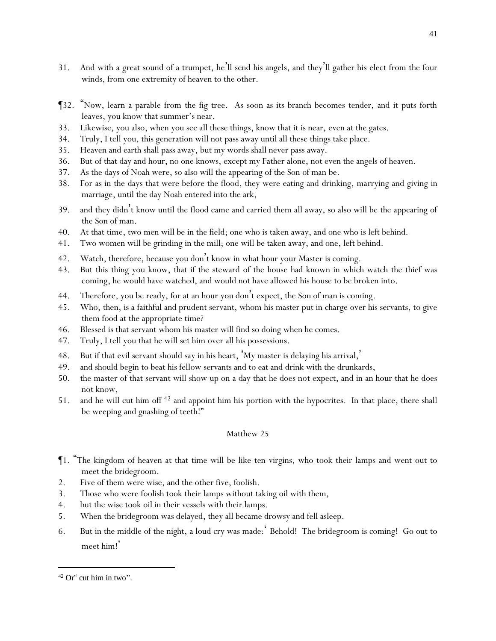- 31. And with a great sound of a trumpet, he'll send his angels, and they'll gather his elect from the four winds, from one extremity of heaven to the other.
- ¶32. "Now, learn a parable from the fig tree. As soon as its branch becomes tender, and it puts forth leaves, *y*ou know that summer's near.
- 33. Likewise, *y*ou also, when *y*ou see all these things, know that it is near, *even* at the gates.
- 34. Truly, I tell *y*ou, this generation will not pass away until all these things take place.
- 35. Heaven and earth shall pass away, but my words shall never pass away.
- 36. But of that day and hour, no one knows, except my Father alone, not even the angels of heaven.
- 37. As the days of Noah *were*, so also will the appearing of the Son of man be.
- 38. For as in the days that were before the flood, they were eating and drinking, marrying and giving in marriage, until the day Noah entered into the ark,
- 39. and they didn't know until the flood came and carried them all away, so also will be the appearing of the Son of man.
- 40. At that time, two men will be in the field; one who is taken away, and one who is left behind.
- 41. Two women will be grinding in the mill; one *will be* taken away, and one, left behind.
- 42. Watch, therefore, because *y*ou don't know in what hour *y*our Master is coming.
- 43. But this thing *y*ou know, that if the steward of the house had known in which watch the thief was coming, he would have watched, and would not have allowed his house to be broken into.
- 44. Therefore, *y*ou be ready, for at an hour *y*ou don't expect, the Son of man is coming.
- 45. Who, then, is a faithful and prudent servant, whom his master put in charge over his servants, to give them food at the appropriate time?
- 46. Blessed is that servant whom his master will find so doing when he comes.
- 47. Truly, I tell *y*ou that he will set him over all his possessions.
- 48. But if that evil servant should say in his heart, 'My master is delaying his arrival, '
- 49. and should begin to beat his fellow servants and to eat and drink with the drunkards,
- 50. the master of that servant will show up on a day that he does not expect, and in an hour that he does not know,
- 51. and he will cut him off <sup>42</sup> and appoint *him* his portion with the hypocrites. In that place, there shall be weeping and gnashing of teeth!"

- ¶1. "The kingdom of heaven at that time will be like ten virgins, who took their lamps and went out to meet the bridegroom.
- 2. Five of them were wise, and the other five, foolish.
- 3. Those who were foolish took their lamps without taking oil with them,
- 4. but the wise took oil in their vessels with their lamps.
- 5. When the bridegroom was delayed, they all became drowsy and fell asleep.
- 6. But in the middle of the night, a loud cry was made:' Behold! The bridegroom is coming! Go out to meet him!'

<sup>42</sup> Or" cut him in two".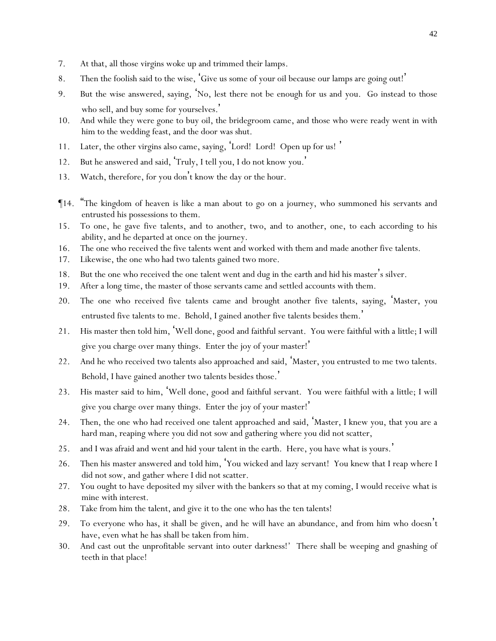- 7. At that, all those virgins woke up and trimmed their lamps.
- 8. Then the foolish said to the wise, 'Give us some of *y*our oil because our lamps are going out!'
- 9. But the wise answered, saying, '*No,* lest there not be enough for us and *y*ou. Go instead to those who sell, and buy some for *y*ourselves. '
- 10. And while they were gone to buy *oil*, the bridegroom came, and those who were ready went in with him to the wedding feast, and the door was shut.
- 11. Later, the other virgins also came, saying, 'Lord! Lord! Open up for us! '
- 12. But he answered and said, 'Truly, I tell *y*ou, I do not know *y*ou. '
- 13. Watch, therefore, for *y*ou don't know the day or the hour.
- ¶14. "The kingdom of heaven is like a man about to go on a journey, who summoned his servants and entrusted his possessions to them.
- 15. To one, he gave five talents, and to another, two, and to another, one, to each according to his ability, and he departed at once on the journey.
- 16. The one who received the five talents went and worked with them and made another five talents.
- 17. Likewise, the one who had two talents gained two more.
- 18. But the one who received the one *talent* went and dug in the earth and hid his master's silver.
- 19. After a long time, the master of those servants came and settled accounts with them.
- 20. The one who received five talents came and brought another five talents, saying, 'Master, you entrusted five talents to me. Behold, I gained another five talents besides them. '
- 21. His master then told him, 'Well done, good and faithful servant. You were faithful with a little; I will give you charge over many things. Enter the joy of your master!'
- 22. And he who received two talents also approached and said, 'Master, you entrusted to me two talents. Behold, I have gained another two talents besides those.'
- 23. His master said to him, 'Well done, good and faithful servant. You were faithful with a little; I will give you charge over many things. Enter the joy of your master!'
- 24. Then, the one who had received one talent approached and said, 'Master, I knew you, that you are a hard man, reaping where you did not sow and gathering where you did not scatter,
- 25. and I was afraid and went and hid your talent in the earth. Here, you have what is yours.'
- 26. Then his master answered and told him, 'You wicked and lazy servant! You knew that I reap where I did not sow, and gather where I did not scatter.
- 27. You ought to have deposited my silver with the bankers so that at my coming, I would receive what is mine with interest.
- 28. Take from him the talent, and give *it* to the one who has the ten talents!
- 29. To everyone who has, it shall be given, and he will have an abundance, and from him who doesn't have, even what he has shall be taken from him.
- 30. And cast out the unprofitable servant into outer darkness!' There shall be weeping and gnashing of teeth in that place!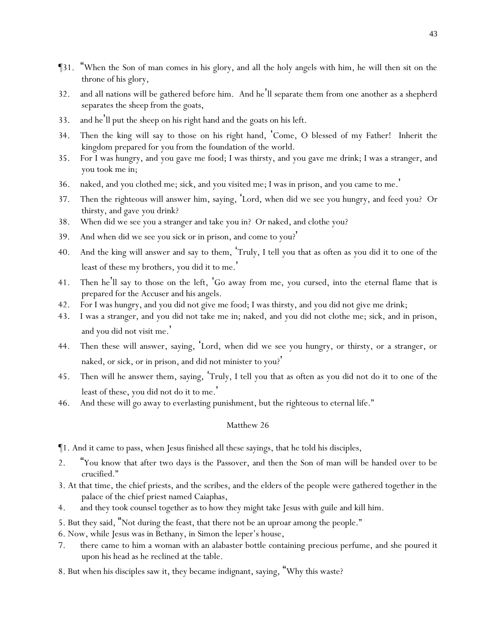- ¶31. "When the Son of man comes in his glory, and all the holy angels with him, he will then sit on the throne of his glory,
- 32. and all nations will be gathered before him. And he'll separate them from one another as a shepherd separates the sheep from the goats,
- 33. and he'll put the sheep on his right hand and the goats on his left.
- 34. Then the king will say to those on his right hand, 'Come, O blessed of my Father! Inherit the kingdom prepared for *y*ou from the foundation of the world.
- 35. For I was hungry, and *y*ou gave me food; I was thirsty, and *y*ou gave me drink; I was a stranger, and *y*ou took me in;
- 36. naked, and *y*ou clothed me; sick, and *y*ou visited me; I was in prison, and *y*ou came to me. '
- 37. Then the righteous will answer him, saying, 'Lord, when did we see you hungry, and feed *you*? Or thirsty, and gave *you* drink?
- 38. When did we see you a stranger and take *you* in? Or naked, and clothe *you*?
- 39. And when did we see you sick or in prison, and come to you? '
- 40. And the king will answer and say to them, 'Truly, I tell *y*ou that as often as *y*ou did it to one of the least of these my brothers, *y*ou did it to me. '
- 41. Then he'll say to those on the left, 'Go away from me, *you* cursed, into the eternal flame that is prepared for the Accuser and his angels.
- 42. For I was hungry, and *y*ou did not give me food; I was thirsty, and *y*ou did not give me drink;
- 43. I was a stranger, and *y*ou did not take me in; naked, and *y*ou did not clothe me; sick, and in prison, and *y*ou did not visit me. '
- 44. Then these will answer, saying, 'Lord, when did we see you hungry, or thirsty, or a stranger, or naked, or sick, or in prison, and did not minister to you?'
- 45. Then will he answer them, saying, 'Truly, I tell *y*ou that as often as *y*ou did not do it to one of the least of these, *y*ou did not do it to me. '
- 46. And these will go away to everlasting punishment, but the righteous to eternal life."

- ¶1. And it came to pass, when Jesus finished all these sayings, that he told his disciples,
- 2. "*Y*ou know that after two days is the Passover, and then the Son of man will be handed over to be crucified."
- 3. At that time, the chief priests, and the scribes, and the elders of the people were gathered together in the palace of the chief priest named Caiaphas,
- 4. and they took counsel together as to how they might take Jesus with guile and kill *him*.
- 5. But they said, "Not during the feast, that there not be an uproar among the people."
- 6. Now, while Jesus was in Bethany, in Simon the leper's house,
- 7. there came to him a woman with an alabaster bottle containing precious perfume, and she poured it upon his head as he reclined at the table.
- 8. But when his disciples saw it, they became indignant, saying, "Why this waste?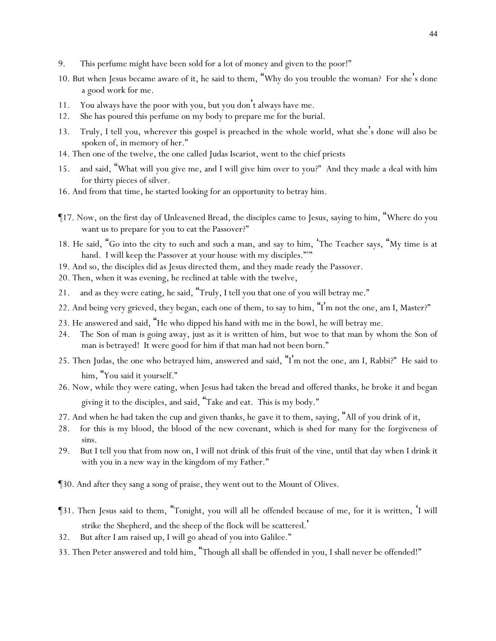- 9. This perfume might have been sold for a lot *of money* and given to the poor!"
- 10. But when Jesus became aware of it, he said to them, "Why do *y*ou trouble the woman? For she's done a good work for me.
- 11. *Y*ou always have the poor with *y*ou, but *y*ou don't always have me.
- 12. She has poured this perfume on my body to prepare me for the burial.
- 13. Truly, I tell *y*ou, wherever this gospel is preached in the whole world, what she's done will also be spoken of, in memory of her."
- 14. Then one of the twelve, the one called Judas Iscariot, went to the chief priests
- 15. and said, "What will *y*ou give me, and I will give him over to *y*ou?" And they made a deal with him for thirty pieces of silver.
- 16. And from that time, he started looking for an opportunity to betray him.
- ¶17. Now, on the first *day* of Unleavened Bread, the disciples came to Jesus, saying to him, "Where do you want us to prepare for you to eat the Passover?"
- 18. He said, "Go into the city to such and such a man, and say to him, 'The Teacher says, "My time is at hand. I will keep the Passover at your house with my disciples."""
- 19. And so, the disciples did as Jesus directed them, and they made ready the Passover.
- 20. Then, when it was evening, he reclined at table with the twelve,
- 21. and as they were eating, he said, "Truly, I tell *y*ou that one of *y*ou will betray me."
- 22. And being very grieved, they began, each one of them, to say to him, "I'm not the one, am I, Master?"
- 23. He answered and said, "He who dipped *his* hand with me in the bowl, he will betray me.
- 24. The Son of man is going away, just as it is written of him, but woe to that man by whom the Son of man is betrayed! It were good for him if that man had not been born."
- 25. Then Judas, the one who betrayed him, answered and said, "I'm not the one, am I, Rabbi?" He said to him, "You said *it* yourself."
- 26. Now, while they were eating, when Jesus had taken the bread and offered thanks, he broke *it* and began giving *it* to the disciples, and said, "Take and eat. This is my body."
- 27. And when he had taken the cup and given thanks, he gave it to them, saying, "All of *y*ou drink of it,
- 28. for this is my blood, the *blood* of the new covenant, which is shed for many for the forgiveness of sins.
- 29. But I tell *y*ou that from now on, I will not drink of this fruit of the vine, until that day when I drink it with *y*ou in a new way in the kingdom of my Father."
- ¶30. And after they sang a song of praise, they went out to the Mount of Olives.
- ¶31. Then Jesus said to them, "Tonight, *y*ou will all be offended because of me, for it is written, 'I will strike the Shepherd, and the sheep of the flock will be scattered. '
- 32. But after I am raised up, I will go ahead of *y*ou into Galilee."
- 33. Then Peter answered and told him, "Though all shall be offended in you, I shall never be offended!"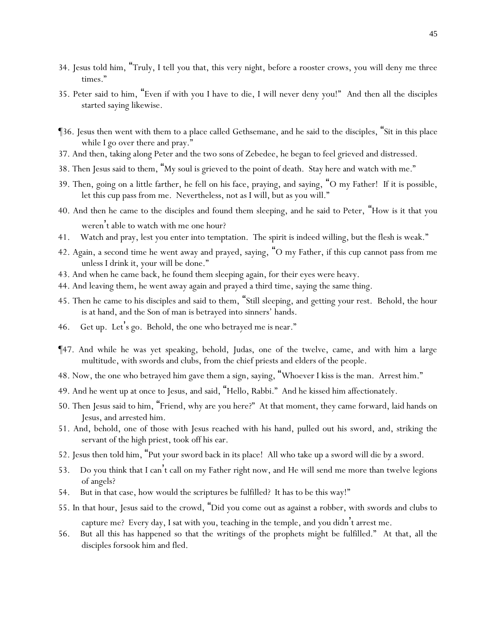- 34. Jesus told him, "Truly, I tell you that, this very night, before a rooster crows, you will deny me three times."
- 35. Peter said to him, "Even if with you I have to die, I will never deny you!" And then all the disciples started saying likewise.
- ¶36. Jesus then went with them to a place called Gethsemane, and he said to the disciples, "Sit in this place while I go over there and pray."
- 37. And then, taking along Peter and the two sons of Zebedee, he began to feel grieved and distressed.
- 38. Then Jesus said to them, "My soul is grieved to the point of death. Stay here and watch with me."
- 39. Then, going on a little farther, he fell on his face, praying, and saying, "O my Father! If it is possible, let this cup pass from me. Nevertheless, not as I will, but as you will."
- 40. And then he came to the disciples and found them sleeping, and he said to Peter, "How is it that *y*ou weren't able to watch with me one hour?
- 41. Watch and pray, lest *y*ou enter into temptation. The spirit is indeed willing, but the flesh is weak."
- 42. Again, a second time he went away and prayed, saying, "O my Father, if this cup cannot pass from me unless I drink it, your will be done."
- 43. And when he came *back*, he found them sleeping again, for their eyes were heavy.
- 44. And leaving them, he went away again and prayed a third time, saying the same thing.
- 45. Then he came to his disciples and said to them, "Still sleeping, and getting *y*our rest. Behold, the hour is at hand, and the Son of man is betrayed into sinners' hands.
- 46. Get up. Let's go. Behold, the one who betrayed me is near."
- ¶47. And while he was yet speaking, behold, Judas, one of the twelve, came, and with him a large multitude, with swords and clubs, from the chief priests and elders of the people.
- 48. Now, the one who betrayed him gave them a sign, saying, "Whoever I kiss is the man. Arrest him."
- 49. And he went up at once to Jesus, and said, "Hello, Rabbi." And he kissed him affectionately.
- 50. Then Jesus said to him, "Friend, why are you here?" At that moment, they came forward, laid hands on Jesus, and arrested him.
- 51. And, behold, one of those with Jesus reached with *his* hand, pulled out his sword, and, striking the servant of the high priest, took off his ear.
- 52. Jesus then told him, "Put your sword back in its place! All who take up a sword will die by a sword.
- 53. Do you think that I can't call on my Father right now, and He will send me more than twelve legions of angels?
- 54. But in that case, how would the scriptures be fulfilled? It has to be this way!"
- 55. In that hour, Jesus said to the crowd, "Did *y*ou come out as against a robber, with swords and clubs to capture me? Every day, I sat with *y*ou, teaching in the temple, and *y*ou didn't arrest me.
- 56. But all this has happened so that the writings of the prophets might be fulfilled." At that, all the disciples forsook him and fled.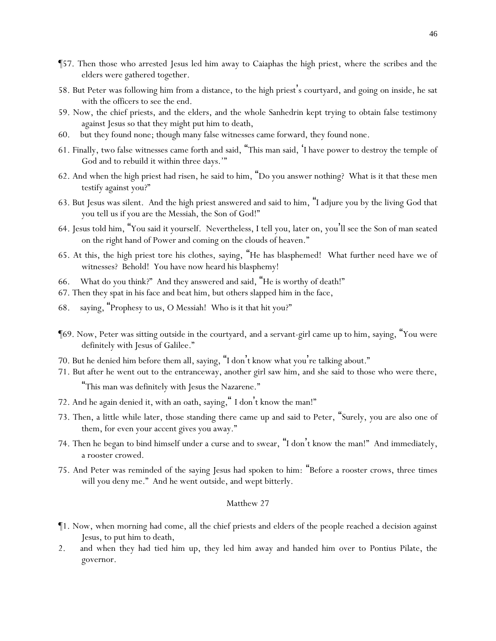- ¶57. Then those who arrested Jesus led him away to Caiaphas the high priest, where the scribes and the elders were gathered together.
- 58. But Peter was following him from a distance, to the high priest's courtyard, and going on inside, he sat with the officers to see the end.
- 59. Now, the chief priests, and the elders, and the whole Sanhedrin kept trying to obtain false testimony against Jesus so that they might put him to death,
- 60. but they found none; though many false witnesses came forward, they found none.
- 61. Finally, two false witnesses came forth and said, "This man said, 'I have power to destroy the temple of God and to rebuild it within three days.'"
- 62. And when the high priest had risen, he said to him, "Do you answer nothing? What is it that these men testify against you?"
- 63. But Jesus was silent. And the high priest answered and said to him, "I adjure you by the living God that you tell us if you are the Messiah, the Son of God!"
- 64. Jesus told him, "You said *it* yourself. Nevertheless, I tell *y*ou, later on, *y*ou'll see the Son of man seated on the right hand of Power and coming on the clouds of heaven."
- 65. At this, the high priest tore his clothes, saying, "He has blasphemed! What further need have we of witnesses? Behold! *Y*ou have now heard his blasphemy!
- 66. What do *y*ou think?" And they answered and said, "He is worthy of death!"
- 67. Then they spat in his face and beat him, but others slapped *him* in the face,
- 68. saying, "Prophesy to us, O Messiah! Who is it that hit you?"
- ¶69. Now, Peter was sitting outside in the courtyard, and a servant-girl came up to him, saying, "You were definitely with Jesus of Galilee."
- 70. But he denied *him* before them all, saying, "I don't know what you're talking *about*."
- 71. But after he went out to the entranceway, another girl saw him, and she said to those who were there, "This man was definitely with Jesus the Nazarene."
- 72. And he again denied *it*, with an oath, *saying,*" I don't know the man!"
- 73. Then, a little while later, those standing there came up and said to Peter, "Surely, you are also one of them, for even your accent gives you away."
- 74. Then he began to bind himself under a curse and to swear, "I don't know the man!" And immediately, a rooster crowed.
- 75. And Peter was reminded of the saying Jesus had spoken to him: "Before a rooster crows, three times will you deny me." And he went outside, and wept bitterly.

- ¶1. Now, when morning had come, all the chief priests and elders of the people reached a decision against Jesus, to put him to death,
- 2. and when they had tied him up, they led *him* away and handed him over to Pontius Pilate, the governor.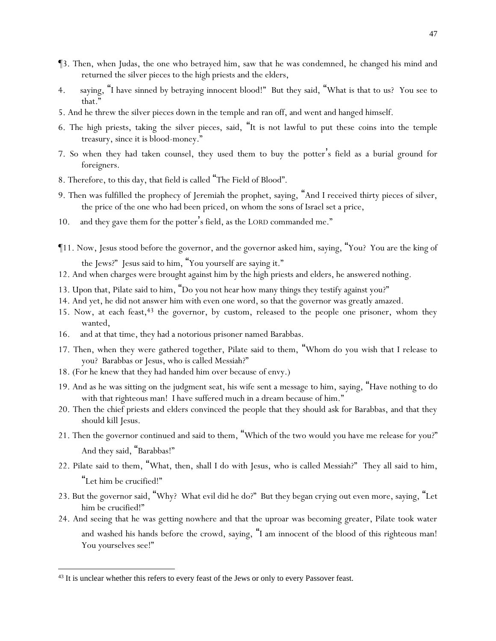- ¶3. Then, when Judas, the one who betrayed him, saw that he was condemned, he changed his mind and returned the silver pieces to the high priests and the elders,
- 4. saying, "I have sinned by betraying innocent blood!" But they said, "What is that to us? You see *to that*."
- 5. And he threw the silver pieces down in the temple and ran off, and went and hanged himself.
- 6. The high priests, taking the silver pieces, said, "It is not lawful to put these *coins* into the temple treasury, since it is blood-money."
- 7. So when they had taken counsel, they used them to buy the potter's field as a burial ground for foreigners.
- 8. Therefore, to this day, that field is called "The Field of Blood".
- 9. Then was fulfilled the prophecy of Jeremiah the prophet, saying, "And I received thirty pieces of silver, the price of the one who had been priced, on whom the sons of Israel set a price,
- 10. and they gave them for the potter's field, as the LORD commanded me."
- ¶11. Now, Jesus stood before the governor, and the governor asked him, saying, "You? You are the king of the Jews?" Jesus said to him, "You yourself are saying *it*."
- 12. And when charges were brought against him by the high priests and elders, he answered nothing.
- 13. Upon that, Pilate said to him, "Do you not hear how many things they testify against you?"
- 14. And yet, he did not answer him with even one word, so that the governor was greatly amazed.
- 15. Now, at each feast,<sup>43</sup> the governor, by custom, released to the people one prisoner, whom they wanted,
- 16. and at that time, they had a notorious prisoner named Barabbas.
- 17. Then, when they were gathered together, Pilate said to them, "Whom do *y*ou wish that I release to *y*ou? Barabbas or Jesus, who is called Messiah?"
- 18. (For he knew that they had handed *him* over because of envy.)
- 19. And as he was sitting on the judgment seat, his wife sent a message to him, saying, "Have nothing to do with that righteous man! I have suffered much in a dream because of him."
- 20. Then the chief priests and elders convinced the people that they should ask for Barabbas, and that they should kill Jesus.
- 21. Then the governor continued and said to them, "Which of the two would *y*ou have me release for *y*ou?" And they said, "Barabbas!"
- 22. Pilate said to them, "What, then, shall I do with Jesus, who is called Messiah?" They all said to him, "Let him be crucified!"
- 23. But the governor said, "Why? What evil did he do?" But they began crying out even more, saying, "Let him be crucified!"
- 24. And seeing that he was getting nowhere and that the uproar was becoming greater, Pilate took water and washed his hands before the crowd, saying, "I am innocent of the blood of this righteous man! *Y*ou *y*ourselves see!"

<sup>&</sup>lt;sup>43</sup> It is unclear whether this refers to every feast of the Jews or only to every Passover feast.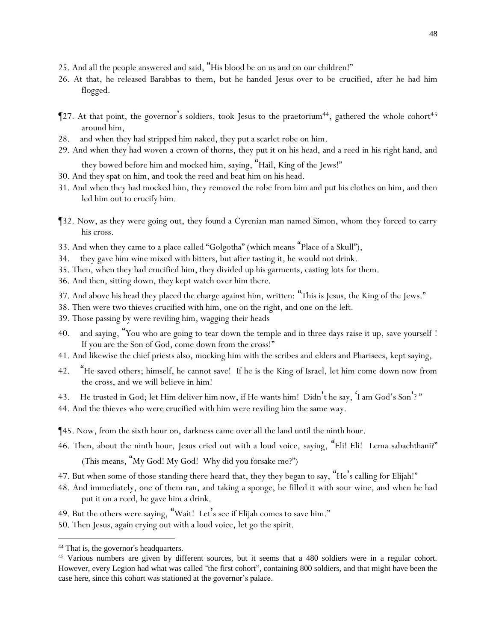- 25. And all the people answered and said, "His blood be on us and on our children!"
- 26. At that, he released Barabbas to them, but he handed Jesus over to be crucified, after he had him flogged.
- $\P$ 27. At that point, the governor's soldiers, took Jesus to the praetorium<sup>44</sup>, gathered the whole cohort<sup>45</sup> around him,
- 28. and when they had stripped him naked, they put a scarlet robe on him.
- 29. And when they had woven a crown of thorns, they put it on his head, and a reed in his right hand, and they bowed before him and mocked him, saying, "Hail, King of the Jews!"
- 30. And they spat on him, and took the reed and beat *him* on his head.
- 31. And when they had mocked him, they removed the robe from him and put his clothes on him, and then led him out to crucify *him*.
- ¶32. Now, as they were going out, they found a Cyrenian man named Simon, whom they forced to carry his cross.
- 33. And when they came to a place called "Golgotha" (which means "Place of a Skull"),
- 34. they gave him wine mixed with bitters, but after tasting it, he would not drink.
- 35. Then, when they had crucified him, they divided up his garments, casting lots *for them*.
- 36. And then, sitting down, they kept watch over him there.
- 37. And above his head they placed the charge against him, written: "This is Jesus, the King of the Jews."
- 38. Then were two thieves crucified with him, one on the right, and one on the left.
- 39. Those passing by were reviling him, wagging their heads
- 40. and saying, "You who are going to tear down the temple and in three days raise it up, save yourself ! If you are the Son of God, come down from the cross!"
- 41. And likewise the chief priests also, mocking *him* with the scribes and elders and Pharisees, kept saying,
- 42. "He saved others; himself, he cannot save! If he is the King of Israel, let him come down now from the cross, and we will believe in him!
- 43. He trusted in God; let Him deliver him now, if He wants him! Didn't he say, 'I am God's Son'? "
- 44. And the thieves who were crucified with him were reviling him the same way.
- ¶45. Now, from the sixth hour on, darkness came over all the land until the ninth hour.
- 46. Then, about the ninth hour, Jesus cried out with a loud voice, saying, "Eli! Eli! Lema sabachthani?"

(This means, "My God! My God! Why did you forsake me?")

- 47. But when some of those standing there heard *that*, they they began to say, "He's calling for Elijah!"
- 48. And immediately, one of them ran, and taking a sponge, he filled it with sour wine, and when he had put it on a reed, he gave him a drink.
- 49. But the others were saying, "Wait! Let's see if Elijah comes to save him."
- 50. Then Jesus, again crying out with a loud voice, let go the spirit.

<sup>&</sup>lt;sup>44</sup> That is, the governor's headquarters.

<sup>&</sup>lt;sup>45</sup> Various numbers are given by different sources, but it seems that a 480 soldiers were in a regular cohort. However, every Legion had what was called "the first cohort", containing 800 soldiers, and that might have been the case here, since this cohort was stationed at the governor's palace.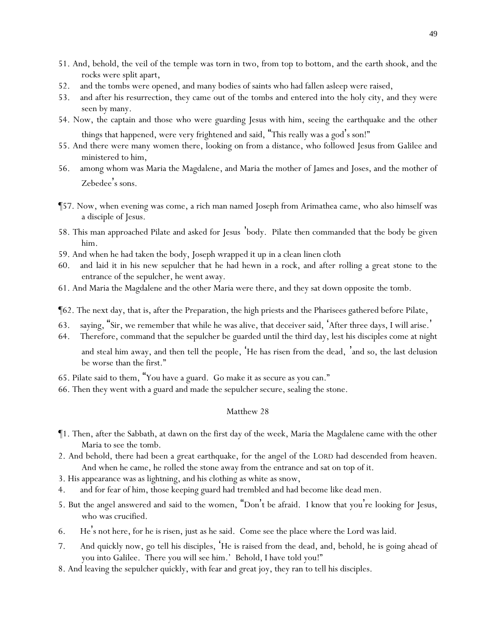- 51. And, behold, the veil of the temple was torn in two, from top to bottom, and the earth shook, and the rocks were split apart,
- 52. and the tombs were opened, and many bodies of saints who had fallen asleep were raised,
- 53. and after his resurrection, they came out of the tombs and entered into the holy city, and they were seen by many.
- 54. Now, the captain and those who were guarding Jesus with him, seeing the earthquake and the *other* things that happened, were very frightened and said, "This really was a god's son!"
- 55. And there were many women there, looking on from a distance, who followed Jesus from Galilee and ministered to him,
- 56. among whom was Maria the Magdalene, and Maria the mother of James and Joses, and the mother of Zebedee's sons.
- ¶57. Now, when evening was come, a rich man named Joseph from Arimathea came, who also himself was a disciple of Jesus.
- 58. This man approached Pilate and asked for Jesus 'body. Pilate then commanded that the body be given him.
- 59. And when he had taken the body, Joseph wrapped it up in a clean linen cloth
- 60. and laid it in his new sepulcher that he had hewn in a rock, and after rolling a great stone to the entrance of the sepulcher, he went away.
- 61. And Maria the Magdalene and the other Maria were there, and they sat down opposite the tomb.
- ¶62. The next day, that is, after the Preparation, the high priests and the Pharisees gathered before Pilate,
- 63. saying, "Sir, we remember that while he was alive, that deceiver said, 'After three days, I will arise.'
- 64. Therefore, command that the sepulcher be guarded until the third day, lest his disciples come at night and steal him away, and then tell the people, 'He has risen from the dead, 'and so, the last delusion be worse than the first."
- 65. Pilate said to them, "*Y*ou have a guard. Go make it as secure as *y*ou can."
- 66. Then they went with a guard and made the sepulcher secure, sealing the stone.

- ¶1. Then, after the Sabbath, at dawn on the first day of the week, Maria the Magdalene came with the other Maria to see the tomb.
- 2. And behold, there had been a great earthquake, for the angel of the LORD had descended from heaven. And when he came, he rolled the stone away from the entrance and sat on top of it.
- 3. His appearance was as lightning, and his clothing as white as snow,
- 4. and for fear of him, those keeping guard had trembled and had become like dead men.
- 5. But the angel answered and said to the women, "Don't be afraid. I know that *y*ou're looking for Jesus, who was crucified.
- 6. He's not here, for he is risen, just as he said. Come see the place where the Lord was laid.
- 7. And quickly now, go tell his disciples, 'He is raised from the dead, and, behold, he is going ahead of *y*ou into Galilee. There *y*ou will see him.' Behold, I have told *y*ou!"
- 8. And leaving the sepulcher quickly, with fear and great joy, they ran to tell his disciples.